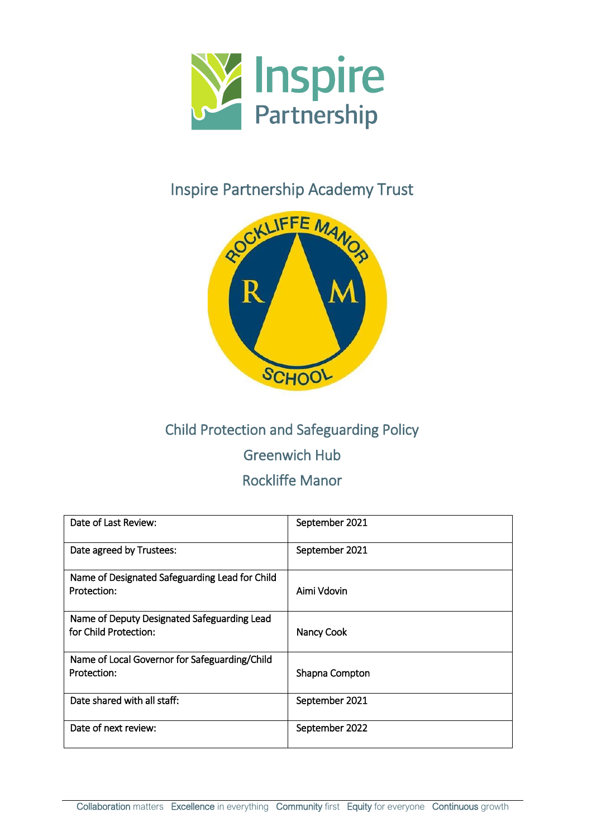

## Inspire Partnership Academy Trust



# Child Protection and Safeguarding Policy Greenwich Hub Rockliffe Manor

| Date of Last Review:                                                 | September 2021 |
|----------------------------------------------------------------------|----------------|
| Date agreed by Trustees:                                             | September 2021 |
| Name of Designated Safeguarding Lead for Child<br>Protection:        | Aimi Vdovin    |
| Name of Deputy Designated Safeguarding Lead<br>for Child Protection: | Nancy Cook     |
| Name of Local Governor for Safeguarding/Child<br>Protection:         | Shapna Compton |
| Date shared with all staff:                                          | September 2021 |
| Date of next review:                                                 | September 2022 |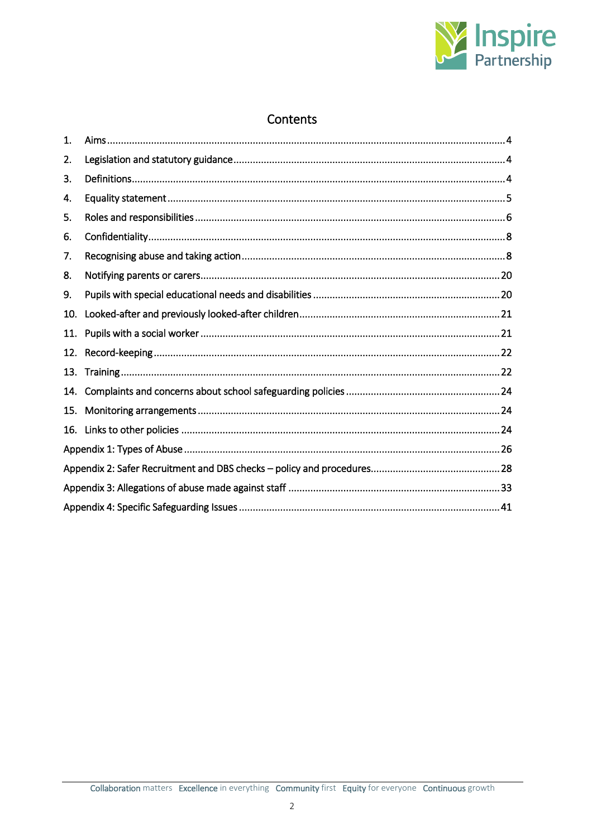

## Contents

| 1.  |  |  |
|-----|--|--|
| 2.  |  |  |
| 3.  |  |  |
| 4.  |  |  |
| 5.  |  |  |
| 6.  |  |  |
| 7.  |  |  |
| 8.  |  |  |
| 9.  |  |  |
| 10. |  |  |
| 11. |  |  |
| 12. |  |  |
| 13. |  |  |
| 14. |  |  |
| 15. |  |  |
| 16. |  |  |
|     |  |  |
|     |  |  |
|     |  |  |
|     |  |  |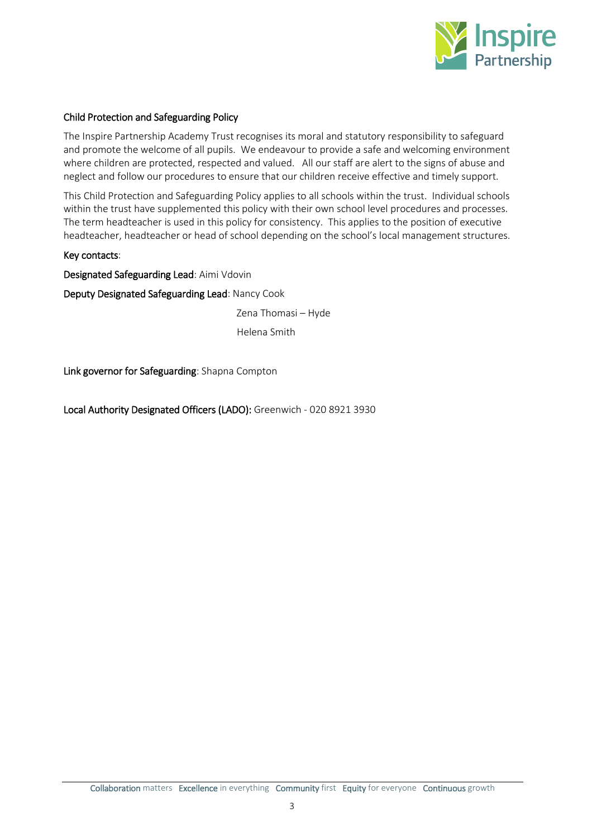

## Child Protection and Safeguarding Policy

The Inspire Partnership Academy Trust recognises its moral and statutory responsibility to safeguard and promote the welcome of all pupils. We endeavour to provide a safe and welcoming environment where children are protected, respected and valued. All our staff are alert to the signs of abuse and neglect and follow our procedures to ensure that our children receive effective and timely support.

This Child Protection and Safeguarding Policy applies to all schools within the trust. Individual schools within the trust have supplemented this policy with their own school level procedures and processes. The term headteacher is used in this policy for consistency. This applies to the position of executive headteacher, headteacher or head of school depending on the school's local management structures.

## Key contacts:

Designated Safeguarding Lead: Aimi Vdovin

Deputy Designated Safeguarding Lead: Nancy Cook

Zena Thomasi – Hyde

Helena Smith

Link governor for Safeguarding: Shapna Compton

Local Authority Designated Officers (LADO): Greenwich - 020 8921 3930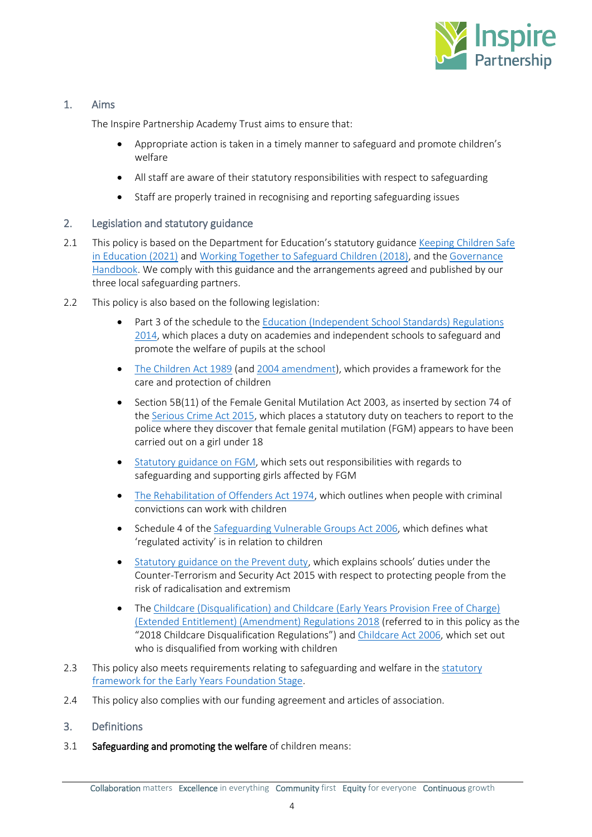

## <span id="page-3-0"></span>1. Aims

The Inspire Partnership Academy Trust aims to ensure that:

- Appropriate action is taken in a timely manner to safeguard and promote children's welfare
- All staff are aware of their statutory responsibilities with respect to safeguarding
- Staff are properly trained in recognising and reporting safeguarding issues

## <span id="page-3-1"></span>2. Legislation and statutory guidance

- 2.1 This policy is based on the Department for Education's statutory guidance Keeping Children Safe [in Education \(2021\)](https://www.gov.uk/government/publications/keeping-children-safe-in-education--2) an[d Working Together to Safeguard Children \(2018\),](https://www.gov.uk/government/publications/working-together-to-safeguard-children--2) and th[e Governance](https://www.gov.uk/government/publications/governance-handbook)  [Handbook.](https://www.gov.uk/government/publications/governance-handbook) We comply with this guidance and the arrangements agreed and published by our three local safeguarding partners.
- 2.2 This policy is also based on the following legislation:
	- Part 3 of the schedule to the [Education \(Independent School Standards\) Regulations](http://www.legislation.gov.uk/uksi/2014/3283/schedule/part/3/made)  [2014,](http://www.legislation.gov.uk/uksi/2014/3283/schedule/part/3/made) which places a duty on academies and independent schools to safeguard and promote the welfare of pupils at the school
	- [The Children Act 1989](http://www.legislation.gov.uk/ukpga/1989/41) (and [2004 amendment\)](http://www.legislation.gov.uk/ukpga/2004/31/contents), which provides a framework for the care and protection of children
	- Section 5B(11) of the Female Genital Mutilation Act 2003, as inserted by section 74 of th[e Serious Crime Act 2015,](http://www.legislation.gov.uk/ukpga/2015/9/part/5/crossheading/female-genital-mutilation) which places a statutory duty on teachers to report to the police where they discover that female genital mutilation (FGM) appears to have been carried out on a girl under 18
	- [Statutory guidance on FGM,](https://www.gov.uk/government/publications/multi-agency-statutory-guidance-on-female-genital-mutilation) which sets out responsibilities with regards to safeguarding and supporting girls affected by FGM
	- [The Rehabilitation of Offenders Act 1974,](http://www.legislation.gov.uk/ukpga/1974/53) which outlines when people with criminal convictions can work with children
	- Schedule 4 of the [Safeguarding Vulnerable Groups Act 2006,](http://www.legislation.gov.uk/ukpga/2006/47/schedule/4) which defines what 'regulated activity' is in relation to children
	- [Statutory guidance on the Prevent duty](https://www.gov.uk/government/publications/prevent-duty-guidance), which explains schools' duties under the Counter-Terrorism and Security Act 2015 with respect to protecting people from the risk of radicalisation and extremism
	- The Childcare (Disqualification) and Childcare (Early Years Provision Free of Charge) [\(Extended Entitlement\) \(Amendment\) Regulations 2018](http://www.legislation.gov.uk/uksi/2018/794/contents/made) (referred to in this policy as the "2018 Childcare Disqualification Regulations") and [Childcare Act 2006,](http://www.legislation.gov.uk/ukpga/2006/21/contents) which set out who is disqualified from working with children
- 2.3 This policy also meets requirements relating to safeguarding and welfare in the statutory [framework for the Early Years Foundation Stage.](https://www.gov.uk/government/publications/early-years-foundation-stage-framework--2)
- 2.4 This policy also complies with our funding agreement and articles of association.

## <span id="page-3-2"></span>3. Definitions

3.1 Safeguarding and promoting the welfare of children means: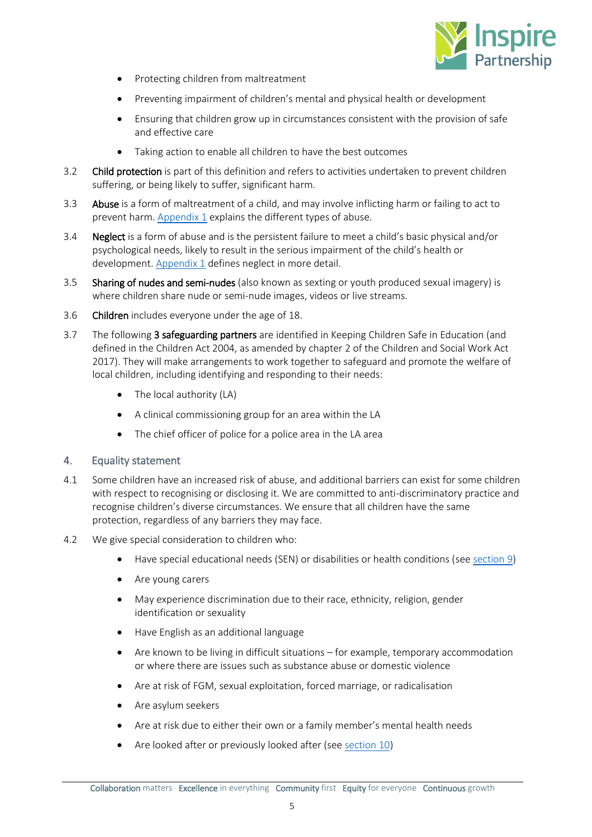

- Protecting children from maltreatment
- Preventing impairment of children's mental and physical health or development
- Ensuring that children grow up in circumstances consistent with the provision of safe and effective care
- Taking action to enable all children to have the best outcomes
- 3.2 Child protection is part of this definition and refers to activities undertaken to prevent children suffering, or being likely to suffer, significant harm.
- 3.3 Abuse is a form of maltreatment of a child, and may involve inflicting harm or failing to act to prevent harm. [Appendix 1](#page-25-0) explains the different types of abuse.
- 3.4 **Neglect** is a form of abuse and is the persistent failure to meet a child's basic physical and/or psychological needs, likely to result in the serious impairment of the child's health or development[. Appendix 1](#page-25-0) defines neglect in more detail.
- 3.5 Sharing of nudes and semi-nudes (also known as sexting or youth produced sexual imagery) is where children share nude or semi-nude images, videos or live streams.
- 3.6 Children includes everyone under the age of 18.
- 3.7 The following 3 safeguarding partners are identified in Keeping Children Safe in Education (and defined in the Children Act 2004, as amended by chapter 2 of the Children and Social Work Act 2017). They will make arrangements to work together to safeguard and promote the welfare of local children, including identifying and responding to their needs:
	- The local authority (LA)
	- A clinical commissioning group for an area within the LA
	- The chief officer of police for a police area in the LA area

## <span id="page-4-0"></span>4. Equality statement

- 4.1 Some children have an increased risk of abuse, and additional barriers can exist for some children with respect to recognising or disclosing it. We are committed to anti-discriminatory practice and recognise children's diverse circumstances. We ensure that all children have the same protection, regardless of any barriers they may face.
- 4.2 We give special consideration to children who:
	- Have special educational needs (SEN) or disabilities or health conditions (se[e section 9\)](#page-19-1)
	- Are young carers
	- May experience discrimination due to their race, ethnicity, religion, gender identification or sexuality
	- Have English as an additional language
	- Are known to be living in difficult situations for example, temporary accommodation or where there are issues such as substance abuse or domestic violence
	- Are at risk of FGM, sexual exploitation, forced marriage, or radicalisation
	- Are asylum seekers
	- Are at risk due to either their own or a family member's mental health needs
	- Are looked after or previously looked after (se[e section 10\)](#page-20-0)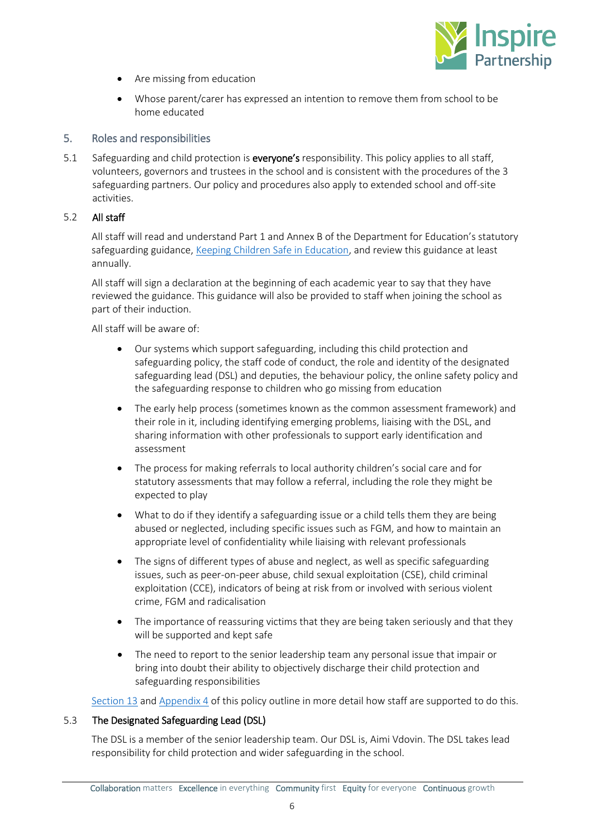

- Are missing from education
- Whose parent/carer has expressed an intention to remove them from school to be home educated

## <span id="page-5-0"></span>5. Roles and responsibilities

5.1 Safeguarding and child protection is everyone's responsibility. This policy applies to all staff, volunteers, governors and trustees in the school and is consistent with the procedures of the 3 safeguarding partners. Our policy and procedures also apply to extended school and off-site activities.

## 5.2 All staff

All staff will read and understand Part 1 and Annex B of the Department for Education's statutory safeguarding guidance, [Keeping Children Safe in Education,](https://www.gov.uk/government/publications/keeping-children-safe-in-education--2) and review this guidance at least annually.

All staff will sign a declaration at the beginning of each academic year to say that they have reviewed the guidance. This guidance will also be provided to staff when joining the school as part of their induction.

All staff will be aware of:

- Our systems which support safeguarding, including this child protection and safeguarding policy, the staff code of conduct, the role and identity of the designated safeguarding lead (DSL) and deputies, the behaviour policy, the online safety policy and the safeguarding response to children who go missing from education
- The early help process (sometimes known as the common assessment framework) and their role in it, including identifying emerging problems, liaising with the DSL, and sharing information with other professionals to support early identification and assessment
- The process for making referrals to local authority children's social care and for statutory assessments that may follow a referral, including the role they might be expected to play
- What to do if they identify a safeguarding issue or a child tells them they are being abused or neglected, including specific issues such as FGM, and how to maintain an appropriate level of confidentiality while liaising with relevant professionals
- The signs of different types of abuse and neglect, as well as specific safeguarding issues, such as peer-on-peer abuse, child sexual exploitation (CSE), child criminal exploitation (CCE), indicators of being at risk from or involved with serious violent crime, FGM and radicalisation
- The importance of reassuring victims that they are being taken seriously and that they will be supported and kept safe
- The need to report to the senior leadership team any personal issue that impair or bring into doubt their ability to objectively discharge their child protection and safeguarding responsibilities

[Section 13](#page-21-1) and [Appendix 4](#page-40-0) of this policy outline in more detail how staff are supported to do this.

## 5.3 The Designated Safeguarding Lead (DSL)

The DSL is a member of the senior leadership team. Our DSL is, Aimi Vdovin. The DSL takes lead responsibility for child protection and wider safeguarding in the school.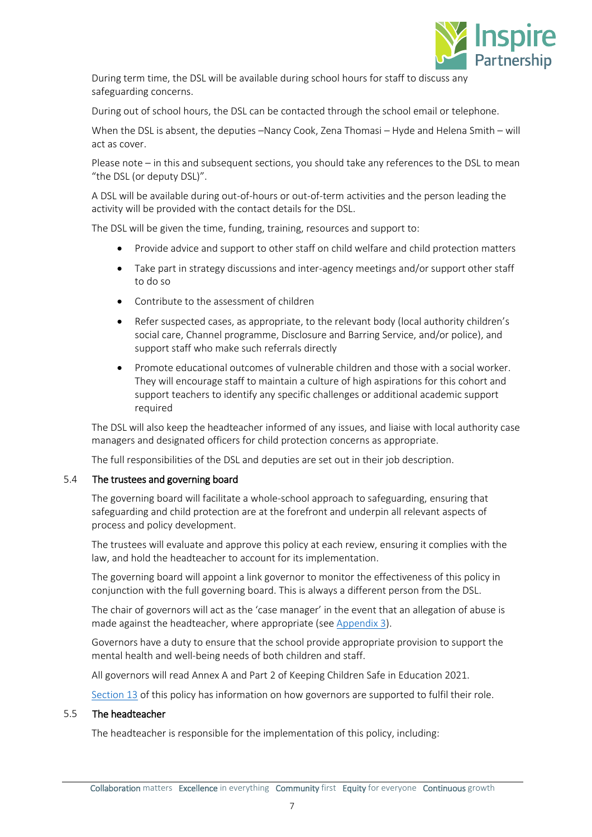

During term time, the DSL will be available during school hours for staff to discuss any safeguarding concerns.

During out of school hours, the DSL can be contacted through the school email or telephone.

When the DSL is absent, the deputies –Nancy Cook, Zena Thomasi – Hyde and Helena Smith – will act as cover.

Please note – in this and subsequent sections, you should take any references to the DSL to mean "the DSL (or deputy DSL)".

A DSL will be available during out-of-hours or out-of-term activities and the person leading the activity will be provided with the contact details for the DSL.

The DSL will be given the time, funding, training, resources and support to:

- Provide advice and support to other staff on child welfare and child protection matters
- Take part in strategy discussions and inter-agency meetings and/or support other staff to do so
- Contribute to the assessment of children
- Refer suspected cases, as appropriate, to the relevant body (local authority children's social care, Channel programme, Disclosure and Barring Service, and/or police), and support staff who make such referrals directly
- Promote educational outcomes of vulnerable children and those with a social worker. They will encourage staff to maintain a culture of high aspirations for this cohort and support teachers to identify any specific challenges or additional academic support required

The DSL will also keep the headteacher informed of any issues, and liaise with local authority case managers and designated officers for child protection concerns as appropriate.

The full responsibilities of the DSL and deputies are set out in their job description.

## 5.4 The trustees and governing board

The governing board will facilitate a whole-school approach to safeguarding, ensuring that safeguarding and child protection are at the forefront and underpin all relevant aspects of process and policy development.

The trustees will evaluate and approve this policy at each review, ensuring it complies with the law, and hold the headteacher to account for its implementation.

The governing board will appoint a link governor to monitor the effectiveness of this policy in conjunction with the full governing board. This is always a different person from the DSL.

The chair of governors will act as the 'case manager' in the event that an allegation of abuse is made against the headteacher, where appropriate (see [Appendix 3\)](#page-32-0).

Governors have a duty to ensure that the school provide appropriate provision to support the mental health and well-being needs of both children and staff.

All governors will read Annex A and Part 2 of Keeping Children Safe in Education 2021.

[Section 13](#page-21-1) of this policy has information on how governors are supported to fulfil their role.

## 5.5 The headteacher

The headteacher is responsible for the implementation of this policy, including: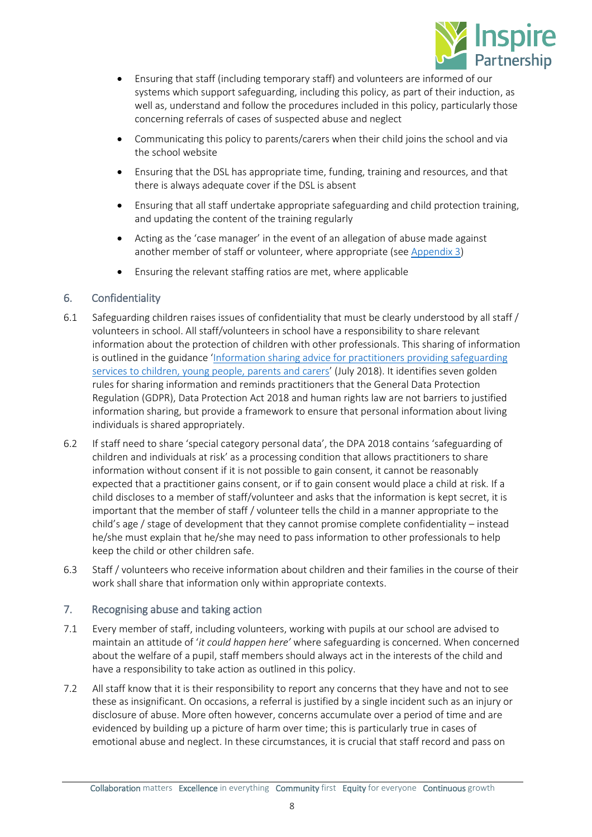

- Ensuring that staff (including temporary staff) and volunteers are informed of our systems which support safeguarding, including this policy, as part of their induction, as well as, understand and follow the procedures included in this policy, particularly those concerning referrals of cases of suspected abuse and neglect
- Communicating this policy to parents/carers when their child joins the school and via the school website
- Ensuring that the DSL has appropriate time, funding, training and resources, and that there is always adequate cover if the DSL is absent
- Ensuring that all staff undertake appropriate safeguarding and child protection training, and updating the content of the training regularly
- Acting as the 'case manager' in the event of an allegation of abuse made against another member of staff or volunteer, where appropriate (see [Appendix 3\)](#page-32-0)
- Ensuring the relevant staffing ratios are met, where applicable

## <span id="page-7-0"></span>6. Confidentiality

- 6.1 Safeguarding children raises issues of confidentiality that must be clearly understood by all staff / volunteers in school. All staff/volunteers in school have a responsibility to share relevant information about the protection of children with other professionals. This sharing of information is outlined in the guidance '[Information sharing advice for practitioners providing safeguarding](https://assets.publishing.service.gov.uk/government/uploads/system/uploads/attachment_data/file/721581/Information_sharing_advice_practitioners_safeguarding_services.pdf)  services to [children, young people, parents and carers](https://assets.publishing.service.gov.uk/government/uploads/system/uploads/attachment_data/file/721581/Information_sharing_advice_practitioners_safeguarding_services.pdf)' (July 2018). It identifies seven golden rules for sharing information and reminds practitioners that the General Data Protection Regulation (GDPR), Data Protection Act 2018 and human rights law are not barriers to justified information sharing, but provide a framework to ensure that personal information about living individuals is shared appropriately.
- 6.2 If staff need to share 'special category personal data', the DPA 2018 contains 'safeguarding of children and individuals at risk' as a processing condition that allows practitioners to share information without consent if it is not possible to gain consent, it cannot be reasonably expected that a practitioner gains consent, or if to gain consent would place a child at risk. If a child discloses to a member of staff/volunteer and asks that the information is kept secret, it is important that the member of staff / volunteer tells the child in a manner appropriate to the child's age / stage of development that they cannot promise complete confidentiality – instead he/she must explain that he/she may need to pass information to other professionals to help keep the child or other children safe.
- 6.3 Staff / volunteers who receive information about children and their families in the course of their work shall share that information only within appropriate contexts.

## <span id="page-7-1"></span>7. Recognising abuse and taking action

- 7.1 Every member of staff, including volunteers, working with pupils at our school are advised to maintain an attitude of '*it could happen here'* where safeguarding is concerned. When concerned about the welfare of a pupil, staff members should always act in the interests of the child and have a responsibility to take action as outlined in this policy.
- 7.2 All staff know that it is their responsibility to report any concerns that they have and not to see these as insignificant. On occasions, a referral is justified by a single incident such as an injury or disclosure of abuse. More often however, concerns accumulate over a period of time and are evidenced by building up a picture of harm over time; this is particularly true in cases of emotional abuse and neglect. In these circumstances, it is crucial that staff record and pass on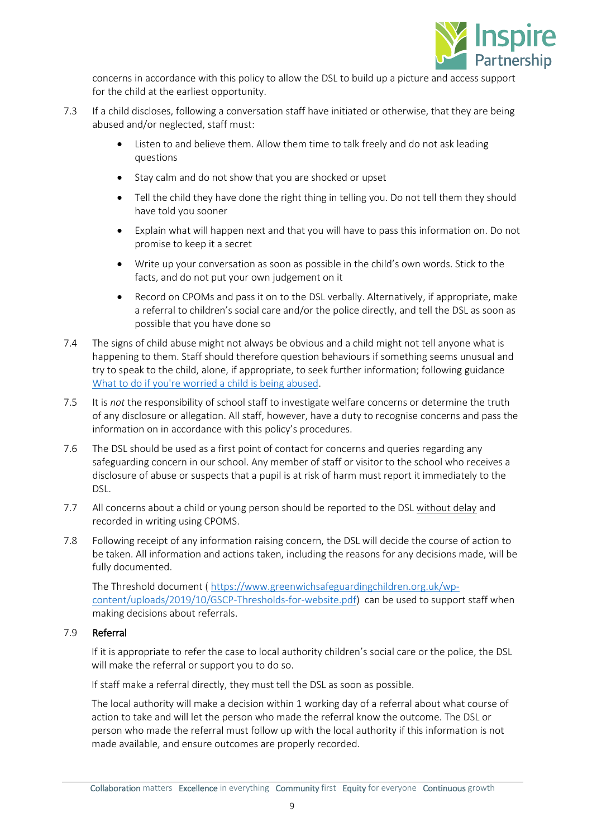

concerns in accordance with this policy to allow the DSL to build up a picture and access support for the child at the earliest opportunity.

- 7.3 If a child discloses, following a conversation staff have initiated or otherwise, that they are being abused and/or neglected, staff must:
	- Listen to and believe them. Allow them time to talk freely and do not ask leading questions
	- Stay calm and do not show that you are shocked or upset
	- Tell the child they have done the right thing in telling you. Do not tell them they should have told you sooner
	- Explain what will happen next and that you will have to pass this information on. Do not promise to keep it a secret
	- Write up your conversation as soon as possible in the child's own words. Stick to the facts, and do not put your own judgement on it
	- Record on CPOMs and pass it on to the DSL verbally. Alternatively, if appropriate, make a referral to children's social care and/or the police directly, and tell the DSL as soon as possible that you have done so
- 7.4 The signs of child abuse might not always be obvious and a child might not tell anyone what is happening to them. Staff should therefore question behaviours if something seems unusual and try to speak to the child, alone, if appropriate, to seek further information; following guidance [What to do if you're worried a child is being abused.](https://www.gov.uk/government/uploads/system/uploads/attachment_data/file/419604/What_to_do_if_you_re_worried_a_child_is_being_abused.pdf)
- 7.5 It is *not* the responsibility of school staff to investigate welfare concerns or determine the truth of any disclosure or allegation. All staff, however, have a duty to recognise concerns and pass the information on in accordance with this policy's procedures.
- 7.6 The DSL should be used as a first point of contact for concerns and queries regarding any safeguarding concern in our school. Any member of staff or visitor to the school who receives a disclosure of abuse or suspects that a pupil is at risk of harm must report it immediately to the DSL.
- 7.7 All concerns about a child or young person should be reported to the DSL without delay and recorded in writing using CPOMS.
- 7.8 Following receipt of any information raising concern, the DSL will decide the course of action to be taken. All information and actions taken, including the reasons for any decisions made, will be fully documented.

The Threshold document ( [https://www.greenwichsafeguardingchildren.org.uk/wp](https://www.greenwichsafeguardingchildren.org.uk/wp-content/uploads/2019/10/GSCP-Thresholds-for-website.pdf)[content/uploads/2019/10/GSCP-Thresholds-for-website.pdf\)](https://www.greenwichsafeguardingchildren.org.uk/wp-content/uploads/2019/10/GSCP-Thresholds-for-website.pdf) can be used to support staff when making decisions about referrals.

## <span id="page-8-0"></span>7.9 Referral

If it is appropriate to refer the case to local authority children's social care or the police, the DSL will make the referral or support you to do so.

If staff make a referral directly, they must tell the DSL as soon as possible.

The local authority will make a decision within 1 working day of a referral about what course of action to take and will let the person who made the referral know the outcome. The DSL or person who made the referral must follow up with the local authority if this information is not made available, and ensure outcomes are properly recorded.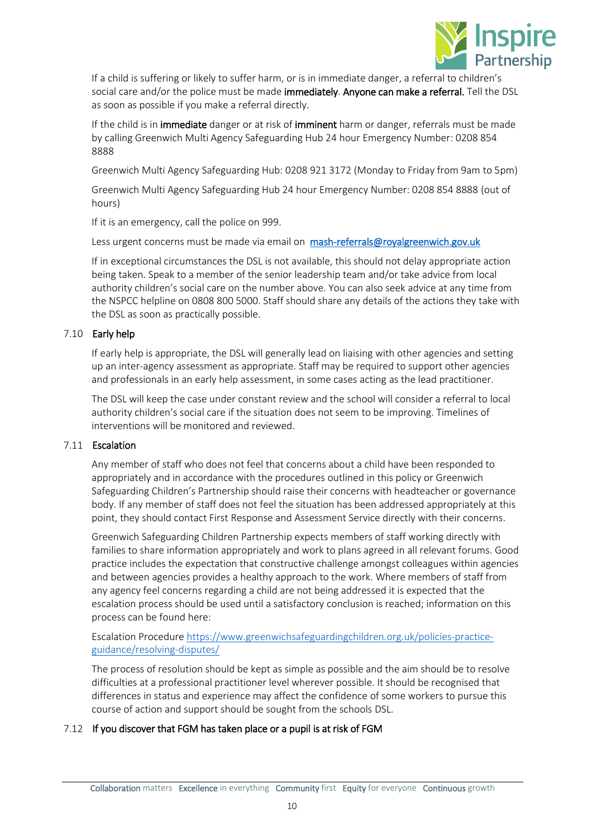

If a child is suffering or likely to suffer harm, or is in immediate danger, a referral to children's social care and/or the police must be made immediately. Anyone can make a referral. Tell the DSL as soon as possible if you make a referral directly.

If the child is in immediate danger or at risk of imminent harm or danger, referrals must be made by calling Greenwich Multi Agency Safeguarding Hub 24 hour Emergency Number: 0208 854 8888

Greenwich Multi Agency Safeguarding Hub: 0208 921 3172 (Monday to Friday from 9am to 5pm)

Greenwich Multi Agency Safeguarding Hub 24 hour Emergency Number: 0208 854 8888 (out of hours)

If it is an emergency, call the police on 999.

Less urgent concerns must be made via email on [mash-referrals@royalgreenwich.gov.uk](mailto:mash-referrals@royalgreenwich.gov.uk)

If in exceptional circumstances the DSL is not available, this should not delay appropriate action being taken. Speak to a member of the senior leadership team and/or take advice from local authority children's social care on the number above. You can also seek advice at any time from the NSPCC helpline on 0808 800 5000. Staff should share any details of the actions they take with the DSL as soon as practically possible.

## 7.10 Early help

If early help is appropriate, the DSL will generally lead on liaising with other agencies and setting up an inter-agency assessment as appropriate. Staff may be required to support other agencies and professionals in an early help assessment, in some cases acting as the lead practitioner.

The DSL will keep the case under constant review and the school will consider a referral to local authority children's social care if the situation does not seem to be improving. Timelines of interventions will be monitored and reviewed.

## 7.11 Escalation

Any member of staff who does not feel that concerns about a child have been responded to appropriately and in accordance with the procedures outlined in this policy or Greenwich Safeguarding Children's Partnership should raise their concerns with headteacher or governance body. If any member of staff does not feel the situation has been addressed appropriately at this point, they should contact First Response and Assessment Service directly with their concerns.

Greenwich Safeguarding Children Partnership expects members of staff working directly with families to share information appropriately and work to plans agreed in all relevant forums. Good practice includes the expectation that constructive challenge amongst colleagues within agencies and between agencies provides a healthy approach to the work. Where members of staff from any agency feel concerns regarding a child are not being addressed it is expected that the escalation process should be used until a satisfactory conclusion is reached; information on this process can be found here:

## Escalation Procedur[e https://www.greenwichsafeguardingchildren.org.uk/policies-practice](https://www.greenwichsafeguardingchildren.org.uk/policies-practice-guidance/resolving-disputes/)[guidance/resolving-disputes/](https://www.greenwichsafeguardingchildren.org.uk/policies-practice-guidance/resolving-disputes/)

The process of resolution should be kept as simple as possible and the aim should be to resolve difficulties at a professional practitioner level wherever possible. It should be recognised that differences in status and experience may affect the confidence of some workers to pursue this course of action and support should be sought from the schools DSL.

## <span id="page-9-0"></span>7.12 If you discover that FGM has taken place or a pupil is at risk of FGM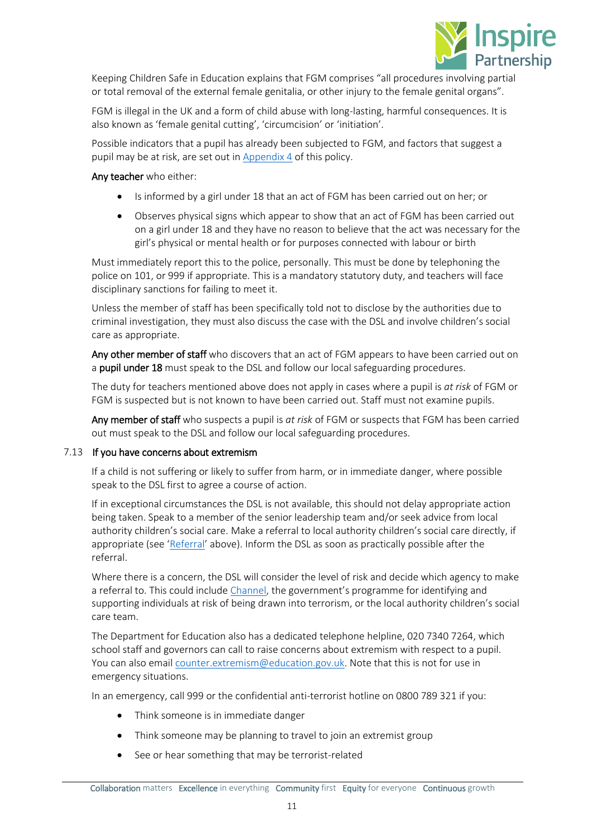

Keeping Children Safe in Education explains that FGM comprises "all procedures involving partial or total removal of the external female genitalia, or other injury to the female genital organs".

FGM is illegal in the UK and a form of child abuse with long-lasting, harmful consequences. It is also known as 'female genital cutting', 'circumcision' or 'initiation'.

Possible indicators that a pupil has already been subjected to FGM, and factors that suggest a pupil may be at risk, are set out in [Appendix 4](#page-40-0) of this policy.

## Any teacher who either:

- Is informed by a girl under 18 that an act of FGM has been carried out on her; or
- Observes physical signs which appear to show that an act of FGM has been carried out on a girl under 18 and they have no reason to believe that the act was necessary for the girl's physical or mental health or for purposes connected with labour or birth

Must immediately report this to the police, personally. This must be done by telephoning the police on 101, or 999 if appropriate. This is a mandatory statutory duty, and teachers will face disciplinary sanctions for failing to meet it.

Unless the member of staff has been specifically told not to disclose by the authorities due to criminal investigation, they must also discuss the case with the DSL and involve children's social care as appropriate.

Any other member of staff who discovers that an act of FGM appears to have been carried out on a **pupil under 18** must speak to the DSL and follow our local safeguarding procedures.

The duty for teachers mentioned above does not apply in cases where a pupil is *at risk* of FGM or FGM is suspected but is not known to have been carried out. Staff must not examine pupils.

Any member of staff who suspects a pupil is *at risk* of FGM or suspects that FGM has been carried out must speak to the DSL and follow our local safeguarding procedures.

## <span id="page-10-0"></span>7.13 If you have concerns about extremism

If a child is not suffering or likely to suffer from harm, or in immediate danger, where possible speak to the DSL first to agree a course of action.

If in exceptional circumstances the DSL is not available, this should not delay appropriate action being taken. Speak to a member of the senior leadership team and/or seek advice from local authority children's social care. Make a referral to local authority children's social care directly, if appropriate (see '[Referral](#page-8-0)' above). Inform the DSL as soon as practically possible after the referral.

Where there is a concern, the DSL will consider the level of risk and decide which agency to make a referral to. This could includ[e Channel](https://www.gov.uk/government/publications/channel-guidance), the government's programme for identifying and supporting individuals at risk of being drawn into terrorism, or the local authority children's social care team.

The Department for Education also has a dedicated telephone helpline, 020 7340 7264, which school staff and governors can call to raise concerns about extremism with respect to a pupil. You can also email [counter.extremism@education.gov.uk.](mailto:counter.extremism@education.gov.uk) Note that this is not for use in emergency situations.

In an emergency, call 999 or the confidential anti-terrorist hotline on 0800 789 321 if you:

- Think someone is in immediate danger
- Think someone may be planning to travel to join an extremist group
- See or hear something that may be terrorist-related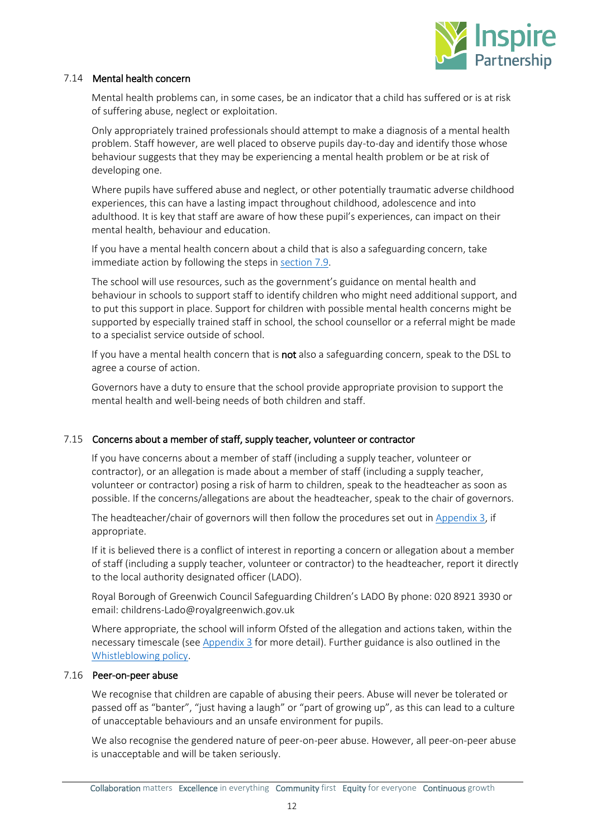

## 7.14 Mental health concern

Mental health problems can, in some cases, be an indicator that a child has suffered or is at risk of suffering abuse, neglect or exploitation.

Only appropriately trained professionals should attempt to make a diagnosis of a mental health problem. Staff however, are well placed to observe pupils day-to-day and identify those whose behaviour suggests that they may be experiencing a mental health problem or be at risk of developing one.

Where pupils have suffered abuse and neglect, or other potentially traumatic adverse childhood experiences, this can have a lasting impact throughout childhood, adolescence and into adulthood. It is key that staff are aware of how these pupil's experiences, can impact on their mental health, behaviour and education.

If you have a mental health concern about a child that is also a safeguarding concern, take immediate action by following the steps in [section 7.9.](#page-8-0)

The school will use resources, such as the government's guidance on mental health and behaviour in schools to support staff to identify children who might need additional support, and to put this support in place. Support for children with possible mental health concerns might be supported by especially trained staff in school, the school counsellor or a referral might be made to a specialist service outside of school.

If you have a mental health concern that is not also a safeguarding concern, speak to the DSL to agree a course of action.

Governors have a duty to ensure that the school provide appropriate provision to support the mental health and well-being needs of both children and staff.

## 7.15 Concerns about a member of staff, supply teacher, volunteer or contractor

If you have concerns about a member of staff (including a supply teacher, volunteer or contractor), or an allegation is made about a member of staff (including a supply teacher, volunteer or contractor) posing a risk of harm to children, speak to the headteacher as soon as possible. If the concerns/allegations are about the headteacher, speak to the chair of governors.

The headteacher/chair of governors will then follow the procedures set out in [Appendix 3,](#page-32-0) if appropriate.

If it is believed there is a conflict of interest in reporting a concern or allegation about a member of staff (including a supply teacher, volunteer or contractor) to the headteacher, report it directly to the local authority designated officer (LADO).

Royal Borough of Greenwich Council Safeguarding Children's LADO By phone: 020 8921 3930 or email: childrens-Lado@royalgreenwich.gov.uk

Where appropriate, the school will inform Ofsted of the allegation and actions taken, within the necessary timescale (see [Appendix 3](#page-32-0) for more detail). Further guidance is also outlined in the [Whistleblowing policy.](https://www.inspirepartnership.co.uk/397/key-information/category/25/academy-policies)

## <span id="page-11-0"></span>7.16 Peer-on-peer abuse

We recognise that children are capable of abusing their peers. Abuse will never be tolerated or passed off as "banter", "just having a laugh" or "part of growing up", as this can lead to a culture of unacceptable behaviours and an unsafe environment for pupils.

We also recognise the gendered nature of peer-on-peer abuse. However, all peer-on-peer abuse is unacceptable and will be taken seriously.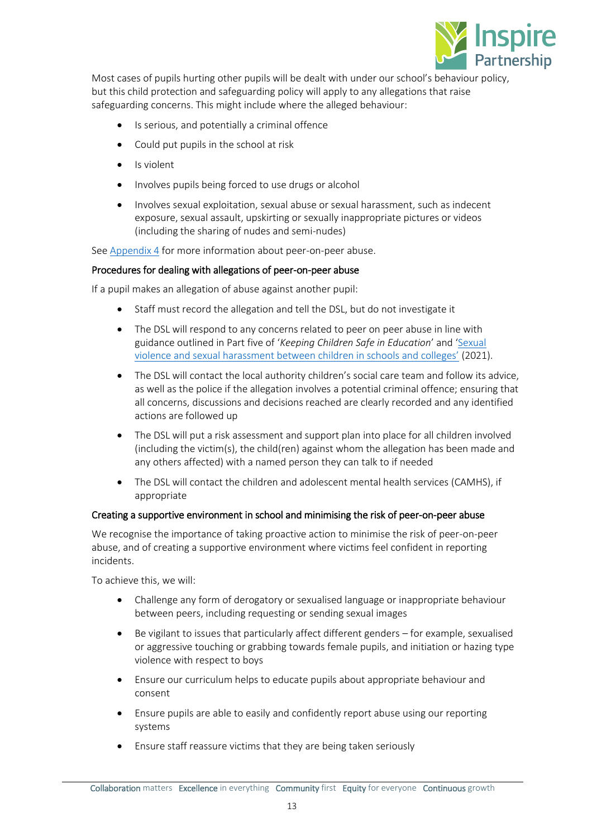

Most cases of pupils hurting other pupils will be dealt with under our school's behaviour policy, but this child protection and safeguarding policy will apply to any allegations that raise safeguarding concerns. This might include where the alleged behaviour:

- Is serious, and potentially a criminal offence
- Could put pupils in the school at risk
- Is violent
- Involves pupils being forced to use drugs or alcohol
- Involves sexual exploitation, sexual abuse or sexual harassment, such as indecent exposure, sexual assault, upskirting or sexually inappropriate pictures or videos (including the sharing of nudes and semi-nudes)

Se[e Appendix 4](#page-40-0) for more information about peer-on-peer abuse.

## Procedures for dealing with allegations of peer-on-peer abuse

If a pupil makes an allegation of abuse against another pupil:

- Staff must record the allegation and tell the DSL, but do not investigate it
- The DSL will respond to any concerns related to peer on peer abuse in line with guidance outlined in Part five of '*Keeping Children Safe in Education*' and '[Sexual](https://www.gov.uk/government/uploads/system/uploads/attachment_data/file/719902/Sexual_violence_and_sexual_harassment_between_children_in_schools_and_colleges.pdf)  [violence and sexual harassment between children in schools and colleges'](https://www.gov.uk/government/uploads/system/uploads/attachment_data/file/719902/Sexual_violence_and_sexual_harassment_between_children_in_schools_and_colleges.pdf) (2021).
- The DSL will contact the local authority children's social care team and follow its advice, as well as the police if the allegation involves a potential criminal offence; ensuring that all concerns, discussions and decisions reached are clearly recorded and any identified actions are followed up
- The DSL will put a risk assessment and support plan into place for all children involved (including the victim(s), the child(ren) against whom the allegation has been made and any others affected) with a named person they can talk to if needed
- The DSL will contact the children and adolescent mental health services (CAMHS), if appropriate

## Creating a supportive environment in school and minimising the risk of peer-on-peer abuse

We recognise the importance of taking proactive action to minimise the risk of peer-on-peer abuse, and of creating a supportive environment where victims feel confident in reporting incidents.

To achieve this, we will:

- Challenge any form of derogatory or sexualised language or inappropriate behaviour between peers, including requesting or sending sexual images
- Be vigilant to issues that particularly affect different genders for example, sexualised or aggressive touching or grabbing towards female pupils, and initiation or hazing type violence with respect to boys
- Ensure our curriculum helps to educate pupils about appropriate behaviour and consent
- Ensure pupils are able to easily and confidently report abuse using our reporting systems
- Ensure staff reassure victims that they are being taken seriously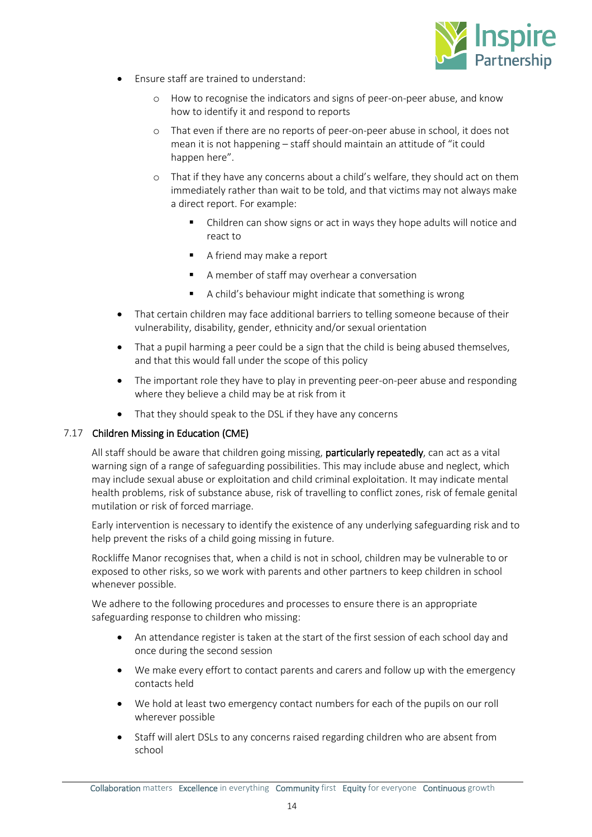

- Ensure staff are trained to understand:
	- o How to recognise the indicators and signs of peer-on-peer abuse, and know how to identify it and respond to reports
	- o That even if there are no reports of peer-on-peer abuse in school, it does not mean it is not happening – staff should maintain an attitude of "it could happen here".
	- o That if they have any concerns about a child's welfare, they should act on them immediately rather than wait to be told, and that victims may not always make a direct report. For example:
		- Children can show signs or act in ways they hope adults will notice and react to
		- A friend may make a report
		- A member of staff may overhear a conversation
		- A child's behaviour might indicate that something is wrong
- That certain children may face additional barriers to telling someone because of their vulnerability, disability, gender, ethnicity and/or sexual orientation
- That a pupil harming a peer could be a sign that the child is being abused themselves, and that this would fall under the scope of this policy
- The important role they have to play in preventing peer-on-peer abuse and responding where they believe a child may be at risk from it
- That they should speak to the DSL if they have any concerns

## 7.17 Children Missing in Education (CME)

All staff should be aware that children going missing, particularly repeatedly, can act as a vital warning sign of a range of safeguarding possibilities. This may include abuse and neglect, which may include sexual abuse or exploitation and child criminal exploitation. It may indicate mental health problems, risk of substance abuse, risk of travelling to conflict zones, risk of female genital mutilation or risk of forced marriage.

Early intervention is necessary to identify the existence of any underlying safeguarding risk and to help prevent the risks of a child going missing in future.

Rockliffe Manor recognises that, when a child is not in school, children may be vulnerable to or exposed to other risks, so we work with parents and other partners to keep children in school whenever possible.

We adhere to the following procedures and processes to ensure there is an appropriate safeguarding response to children who missing:

- An attendance register is taken at the start of the first session of each school day and once during the second session
- We make every effort to contact parents and carers and follow up with the emergency contacts held
- We hold at least two emergency contact numbers for each of the pupils on our roll wherever possible
- Staff will alert DSLs to any concerns raised regarding children who are absent from school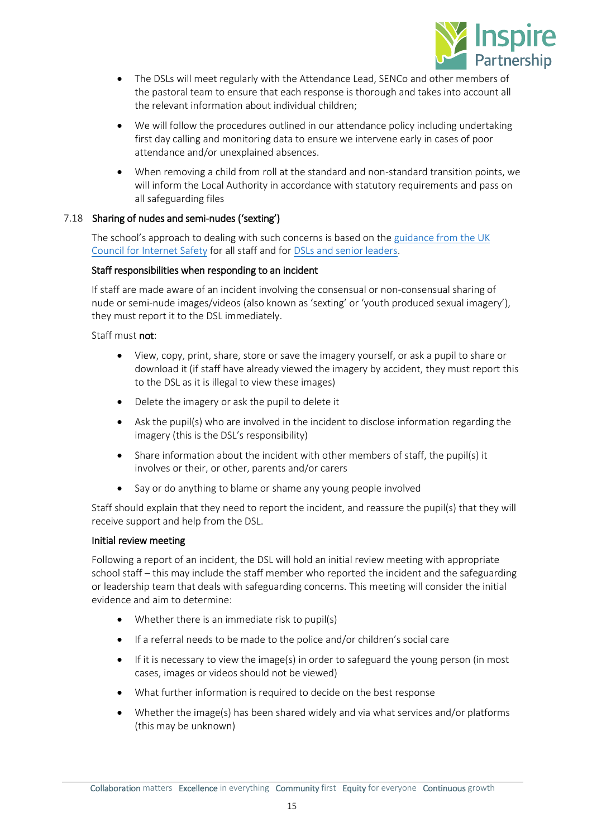

- The DSLs will meet regularly with the Attendance Lead, SENCo and other members of the pastoral team to ensure that each response is thorough and takes into account all the relevant information about individual children;
- We will follow the procedures outlined in our attendance policy including undertaking first day calling and monitoring data to ensure we intervene early in cases of poor attendance and/or unexplained absences.
- When removing a child from roll at the standard and non-standard transition points, we will inform the Local Authority in accordance with statutory requirements and pass on all safeguarding files

## <span id="page-14-0"></span>7.18 Sharing of nudes and semi-nudes ('sexting')

The school's approach to dealing with such concerns is based on the [guidance from the UK](https://www.gov.uk/government/publications/sharing-nudes-and-semi-nudes-advice-for-education-settings-working-with-children-and-young-people)  [Council for Internet Safety](https://www.gov.uk/government/publications/sharing-nudes-and-semi-nudes-advice-for-education-settings-working-with-children-and-young-people) for all staff and for [DSLs and senior leaders.](https://assets.publishing.service.gov.uk/government/uploads/system/uploads/attachment_data/file/609874/6_2939_SP_NCA_Sexting_In_Schools_FINAL_Update_Jan17.pdf)

## Staff responsibilities when responding to an incident

If staff are made aware of an incident involving the consensual or non-consensual sharing of nude or semi-nude images/videos (also known as 'sexting' or 'youth produced sexual imagery'), they must report it to the DSL immediately.

Staff must not:

- View, copy, print, share, store or save the imagery yourself, or ask a pupil to share or download it (if staff have already viewed the imagery by accident, they must report this to the DSL as it is illegal to view these images)
- Delete the imagery or ask the pupil to delete it
- Ask the pupil(s) who are involved in the incident to disclose information regarding the imagery (this is the DSL's responsibility)
- Share information about the incident with other members of staff, the pupil(s) it involves or their, or other, parents and/or carers
- Say or do anything to blame or shame any young people involved

Staff should explain that they need to report the incident, and reassure the pupil(s) that they will receive support and help from the DSL.

## Initial review meeting

Following a report of an incident, the DSL will hold an initial review meeting with appropriate school staff – this may include the staff member who reported the incident and the safeguarding or leadership team that deals with safeguarding concerns. This meeting will consider the initial evidence and aim to determine:

- Whether there is an immediate risk to pupil(s)
- If a referral needs to be made to the police and/or children's social care
- If it is necessary to view the image(s) in order to safeguard the young person (in most cases, images or videos should not be viewed)
- What further information is required to decide on the best response
- Whether the image(s) has been shared widely and via what services and/or platforms (this may be unknown)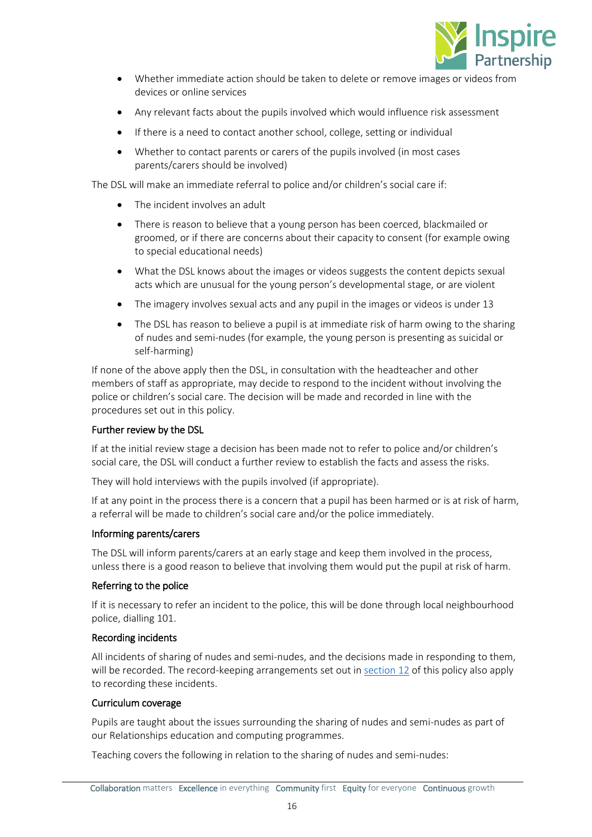

- Whether immediate action should be taken to delete or remove images or videos from devices or online services
- Any relevant facts about the pupils involved which would influence risk assessment
- If there is a need to contact another school, college, setting or individual
- Whether to contact parents or carers of the pupils involved (in most cases parents/carers should be involved)

The DSL will make an immediate referral to police and/or children's social care if:

- The incident involves an adult
- There is reason to believe that a young person has been coerced, blackmailed or groomed, or if there are concerns about their capacity to consent (for example owing to special educational needs)
- What the DSL knows about the images or videos suggests the content depicts sexual acts which are unusual for the young person's developmental stage, or are violent
- The imagery involves sexual acts and any pupil in the images or videos is under 13
- The DSL has reason to believe a pupil is at immediate risk of harm owing to the sharing of nudes and semi-nudes (for example, the young person is presenting as suicidal or self-harming)

If none of the above apply then the DSL, in consultation with the headteacher and other members of staff as appropriate, may decide to respond to the incident without involving the police or children's social care. The decision will be made and recorded in line with the procedures set out in this policy.

## Further review by the DSL

If at the initial review stage a decision has been made not to refer to police and/or children's social care, the DSL will conduct a further review to establish the facts and assess the risks.

They will hold interviews with the pupils involved (if appropriate).

If at any point in the process there is a concern that a pupil has been harmed or is at risk of harm, a referral will be made to children's social care and/or the police immediately.

## Informing parents/carers

The DSL will inform parents/carers at an early stage and keep them involved in the process, unless there is a good reason to believe that involving them would put the pupil at risk of harm.

## Referring to the police

If it is necessary to refer an incident to the police, this will be done through local neighbourhood police, dialling 101.

## Recording incidents

All incidents of sharing of nudes and semi-nudes, and the decisions made in responding to them, will be recorded. The record-keeping arrangements set out in [section 12](#page-21-0) of this policy also apply to recording these incidents.

## Curriculum coverage

Pupils are taught about the issues surrounding the sharing of nudes and semi-nudes as part of our Relationships education and computing programmes.

Teaching covers the following in relation to the sharing of nudes and semi-nudes: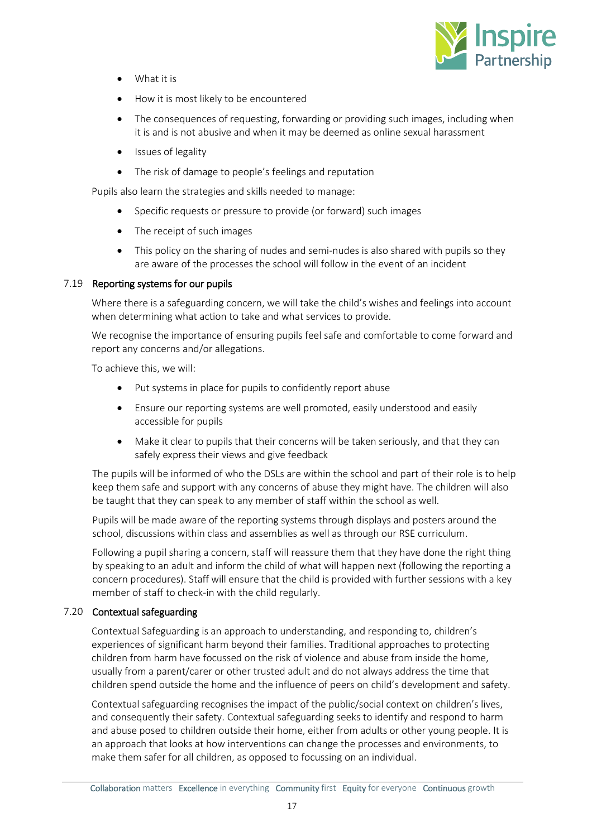

- What it is
- How it is most likely to be encountered
- The consequences of requesting, forwarding or providing such images, including when it is and is not abusive and when it may be deemed as online sexual harassment
- Issues of legality
- The risk of damage to people's feelings and reputation

Pupils also learn the strategies and skills needed to manage:

- Specific requests or pressure to provide (or forward) such images
- The receipt of such images
- This policy on the sharing of nudes and semi-nudes is also shared with pupils so they are aware of the processes the school will follow in the event of an incident

## 7.19 Reporting systems for our pupils

Where there is a safeguarding concern, we will take the child's wishes and feelings into account when determining what action to take and what services to provide.

We recognise the importance of ensuring pupils feel safe and comfortable to come forward and report any concerns and/or allegations.

To achieve this, we will:

- Put systems in place for pupils to confidently report abuse
- Ensure our reporting systems are well promoted, easily understood and easily accessible for pupils
- Make it clear to pupils that their concerns will be taken seriously, and that they can safely express their views and give feedback

The pupils will be informed of who the DSLs are within the school and part of their role is to help keep them safe and support with any concerns of abuse they might have. The children will also be taught that they can speak to any member of staff within the school as well.

Pupils will be made aware of the reporting systems through displays and posters around the school, discussions within class and assemblies as well as through our RSE curriculum.

Following a pupil sharing a concern, staff will reassure them that they have done the right thing by speaking to an adult and inform the child of what will happen next (following the reporting a concern procedures). Staff will ensure that the child is provided with further sessions with a key member of staff to check-in with the child regularly.

## 7.20 Contextual safeguarding

Contextual Safeguarding is an approach to understanding, and responding to, children's experiences of significant harm beyond their families. Traditional approaches to protecting children from harm have focussed on the risk of violence and abuse from inside the home, usually from a parent/carer or other trusted adult and do not always address the time that children spend outside the home and the influence of peers on child's development and safety.

Contextual safeguarding recognises the impact of the public/social context on children's lives, and consequently their safety. Contextual safeguarding seeks to identify and respond to harm and abuse posed to children outside their home, either from adults or other young people. It is an approach that looks at how interventions can change the processes and environments, to make them safer for all children, as opposed to focussing on an individual.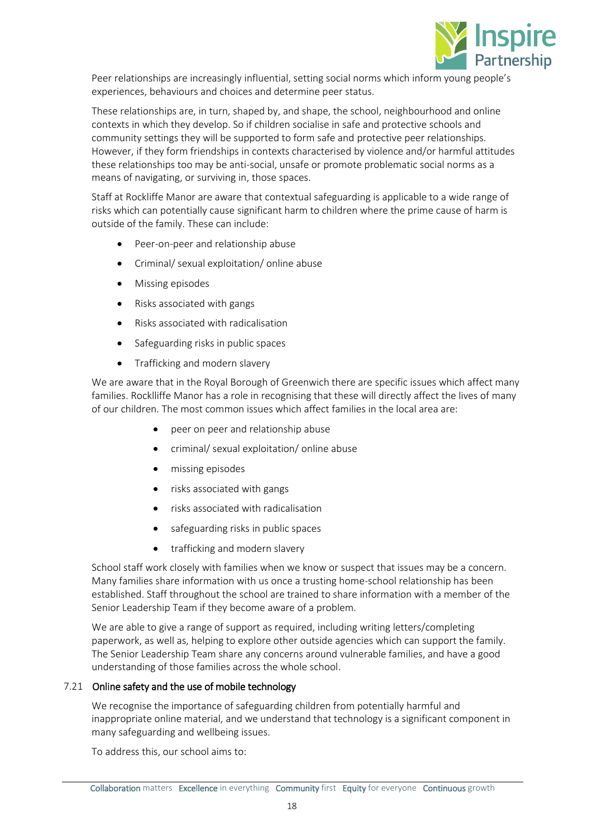

Peer relationships are increasingly influential, setting social norms which inform young people's experiences, behaviours and choices and determine peer status.

These relationships are, in turn, shaped by, and shape, the school, neighbourhood and online contexts in which they develop. So if children socialise in safe and protective schools and community settings they will be supported to form safe and protective peer relationships. However, if they form friendships in contexts characterised by violence and/or harmful attitudes these relationships too may be anti-social, unsafe or promote problematic social norms as a means of navigating, or surviving in, those spaces.

Staff at Rockliffe Manor are aware that contextual safeguarding is applicable to a wide range of risks which can potentially cause significant harm to children where the prime cause of harm is outside of the family. These can include:

- Peer-on-peer and relationship abuse
- Criminal/ sexual exploitation/ online abuse
- Missing episodes
- Risks associated with gangs
- Risks associated with radicalisation
- Safeguarding risks in public spaces
- Trafficking and modern slavery

We are aware that in the Royal Borough of Greenwich there are specific issues which affect many families. Rocklliffe Manor has a role in recognising that these will directly affect the lives of many of our children. The most common issues which affect families in the local area are:

- peer on peer and relationship abuse
- criminal/ sexual exploitation/ online abuse
- missing episodes
- risks associated with gangs
- risks associated with radicalisation
- safeguarding risks in public spaces
- trafficking and modern slavery

School staff work closely with families when we know or suspect that issues may be a concern. Many families share information with us once a trusting home-school relationship has been established. Staff throughout the school are trained to share information with a member of the Senior Leadership Team if they become aware of a problem.

We are able to give a range of support as required, including writing letters/completing paperwork, as well as, helping to explore other outside agencies which can support the family. The Senior Leadership Team share any concerns around vulnerable families, and have a good understanding of those families across the whole school.

## 7.21 Online safety and the use of mobile technology

We recognise the importance of safeguarding children from potentially harmful and inappropriate online material, and we understand that technology is a significant component in many safeguarding and wellbeing issues.

To address this, our school aims to: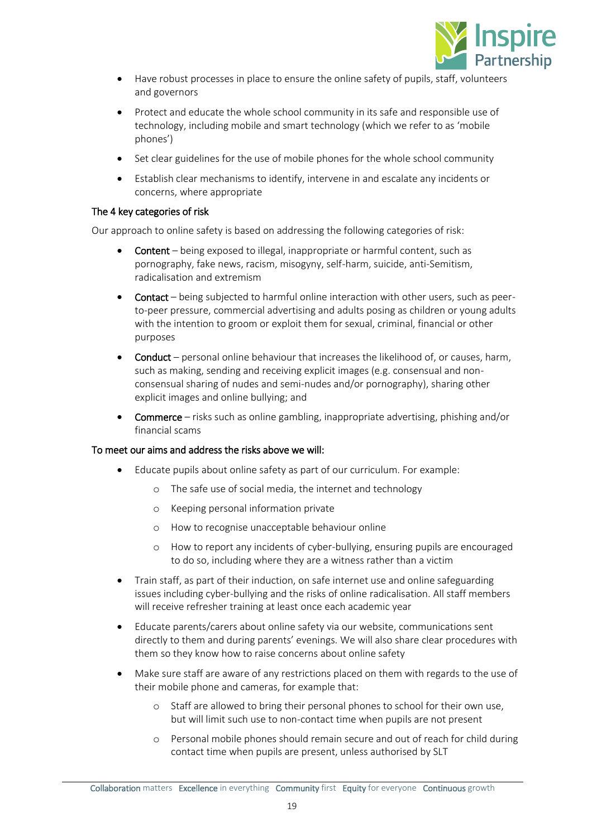

- Have robust processes in place to ensure the online safety of pupils, staff, volunteers and governors
- Protect and educate the whole school community in its safe and responsible use of technology, including mobile and smart technology (which we refer to as 'mobile phones')
- Set clear guidelines for the use of mobile phones for the whole school community
- Establish clear mechanisms to identify, intervene in and escalate any incidents or concerns, where appropriate

## The 4 key categories of risk

Our approach to online safety is based on addressing the following categories of risk:

- Content being exposed to illegal, inappropriate or harmful content, such as pornography, fake news, racism, misogyny, self-harm, suicide, anti-Semitism, radicalisation and extremism
- Contact being subjected to harmful online interaction with other users, such as peerto-peer pressure, commercial advertising and adults posing as children or young adults with the intention to groom or exploit them for sexual, criminal, financial or other purposes
- Conduct personal online behaviour that increases the likelihood of, or causes, harm, such as making, sending and receiving explicit images (e.g. consensual and nonconsensual sharing of nudes and semi-nudes and/or pornography), sharing other explicit images and online bullying; and
- Commerce risks such as online gambling, inappropriate advertising, phishing and/or financial scams

## To meet our aims and address the risks above we will:

- Educate pupils about online safety as part of our curriculum. For example:
	- o The safe use of social media, the internet and technology
	- o Keeping personal information private
	- o How to recognise unacceptable behaviour online
	- o How to report any incidents of cyber-bullying, ensuring pupils are encouraged to do so, including where they are a witness rather than a victim
- Train staff, as part of their induction, on safe internet use and online safeguarding issues including cyber-bullying and the risks of online radicalisation. All staff members will receive refresher training at least once each academic year
- Educate parents/carers about online safety via our website, communications sent directly to them and during parents' evenings. We will also share clear procedures with them so they know how to raise concerns about online safety
- Make sure staff are aware of any restrictions placed on them with regards to the use of their mobile phone and cameras, for example that:
	- o Staff are allowed to bring their personal phones to school for their own use, but will limit such use to non-contact time when pupils are not present
	- o Personal mobile phones should remain secure and out of reach for child during contact time when pupils are present, unless authorised by SLT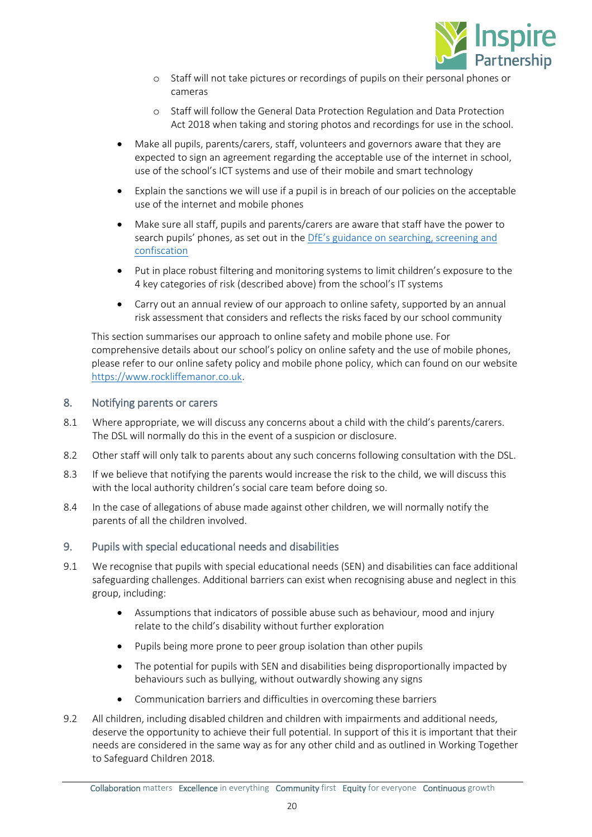

- o Staff will not take pictures or recordings of pupils on their personal phones or cameras
- o Staff will follow the General Data Protection Regulation and Data Protection Act 2018 when taking and storing photos and recordings for use in the school.
- Make all pupils, parents/carers, staff, volunteers and governors aware that they are expected to sign an agreement regarding the acceptable use of the internet in school, use of the school's ICT systems and use of their mobile and smart technology
- Explain the sanctions we will use if a pupil is in breach of our policies on the acceptable use of the internet and mobile phones
- Make sure all staff, pupils and parents/carers are aware that staff have the power to search pupils' phones, as set out in the DfE's gui[dance on searching, screening and](https://www.gov.uk/government/publications/searching-screening-and-confiscation)  [confiscation](https://www.gov.uk/government/publications/searching-screening-and-confiscation)
- Put in place robust filtering and monitoring systems to limit children's exposure to the 4 key categories of risk (described above) from the school's IT systems
- Carry out an annual review of our approach to online safety, supported by an annual risk assessment that considers and reflects the risks faced by our school community

This section summarises our approach to online safety and mobile phone use. For comprehensive details about our school's policy on online safety and the use of mobile phones, please refer to our online safety policy and mobile phone policy, which can found on our website [https://www.rockliffemanor.co.uk.](https://www.rockliffemanor.co.uk/)

## <span id="page-19-0"></span>8. Notifying parents or carers

- 8.1 Where appropriate, we will discuss any concerns about a child with the child's parents/carers. The DSL will normally do this in the event of a suspicion or disclosure.
- 8.2 Other staff will only talk to parents about any such concerns following consultation with the DSL.
- 8.3 If we believe that notifying the parents would increase the risk to the child, we will discuss this with the local authority children's social care team before doing so.
- 8.4 In the case of allegations of abuse made against other children, we will normally notify the parents of all the children involved.

## <span id="page-19-1"></span>9. Pupils with special educational needs and disabilities

- 9.1 We recognise that pupils with special educational needs (SEN) and disabilities can face additional safeguarding challenges. Additional barriers can exist when recognising abuse and neglect in this group, including:
	- Assumptions that indicators of possible abuse such as behaviour, mood and injury relate to the child's disability without further exploration
	- Pupils being more prone to peer group isolation than other pupils
	- The potential for pupils with SEN and disabilities being disproportionally impacted by behaviours such as bullying, without outwardly showing any signs
	- Communication barriers and difficulties in overcoming these barriers
- 9.2 All children, including disabled children and children with impairments and additional needs, deserve the opportunity to achieve their full potential. In support of this it is important that their needs are considered in the same way as for any other child and as outlined in Working Together to Safeguard Children 2018.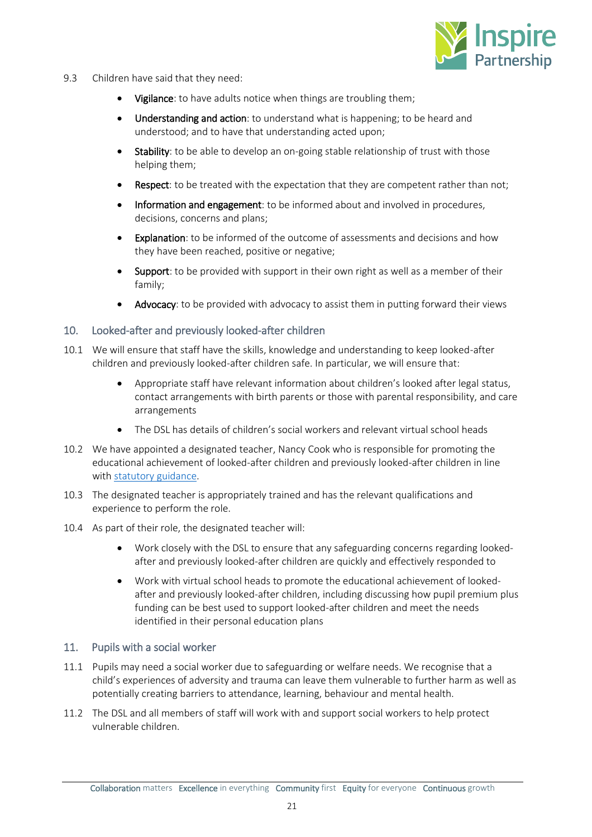

- 9.3 Children have said that they need:
	- Vigilance: to have adults notice when things are troubling them;
	- Understanding and action: to understand what is happening; to be heard and understood; and to have that understanding acted upon;
	- Stability: to be able to develop an on-going stable relationship of trust with those helping them;
	- **Respect:** to be treated with the expectation that they are competent rather than not;
	- Information and engagement: to be informed about and involved in procedures, decisions, concerns and plans;
	- Explanation: to be informed of the outcome of assessments and decisions and how they have been reached, positive or negative;
	- Support: to be provided with support in their own right as well as a member of their family;
	- Advocacy: to be provided with advocacy to assist them in putting forward their views

## <span id="page-20-0"></span>10. Looked-after and previously looked-after children

- 10.1 We will ensure that staff have the skills, knowledge and understanding to keep looked-after children and previously looked-after children safe. In particular, we will ensure that:
	- Appropriate staff have relevant information about children's looked after legal status, contact arrangements with birth parents or those with parental responsibility, and care arrangements
	- The DSL has details of children's social workers and relevant virtual school heads
- 10.2 We have appointed a designated teacher, Nancy Cook who is responsible for promoting the educational achievement of looked-after children and previously looked-after children in line wit[h statutory guidance.](https://www.gov.uk/government/publications/designated-teacher-for-looked-after-children)
- 10.3 The designated teacher is appropriately trained and has the relevant qualifications and experience to perform the role.
- 10.4 As part of their role, the designated teacher will:
	- Work closely with the DSL to ensure that any safeguarding concerns regarding lookedafter and previously looked-after children are quickly and effectively responded to
	- Work with virtual school heads to promote the educational achievement of lookedafter and previously looked-after children, including discussing how pupil premium plus funding can be best used to support looked-after children and meet the needs identified in their personal education plans

## <span id="page-20-1"></span>11. Pupils with a social worker

- 11.1 Pupils may need a social worker due to safeguarding or welfare needs. We recognise that a child's experiences of adversity and trauma can leave them vulnerable to further harm as well as potentially creating barriers to attendance, learning, behaviour and mental health.
- 11.2 The DSL and all members of staff will work with and support social workers to help protect vulnerable children.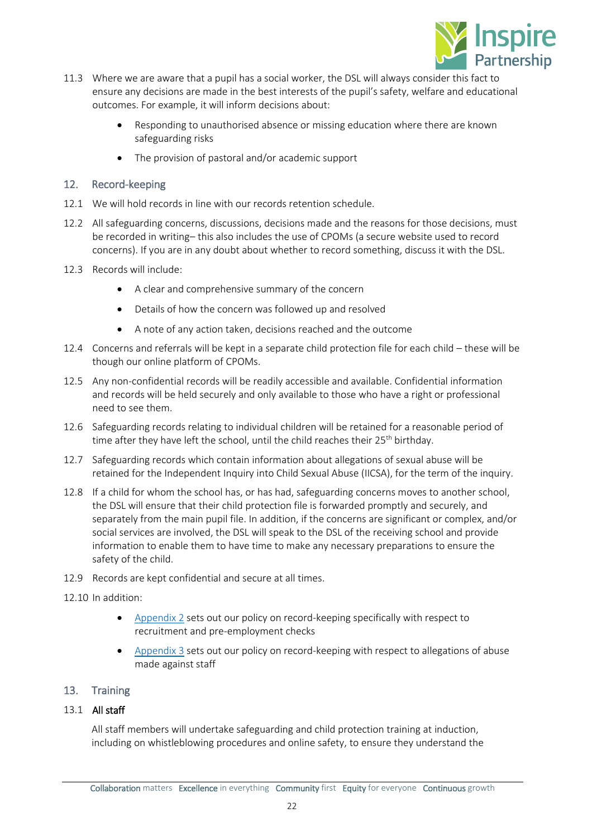

- 11.3 Where we are aware that a pupil has a social worker, the DSL will always consider this fact to ensure any decisions are made in the best interests of the pupil's safety, welfare and educational outcomes. For example, it will inform decisions about:
	- Responding to unauthorised absence or missing education where there are known safeguarding risks
	- The provision of pastoral and/or academic support

## <span id="page-21-0"></span>12. Record-keeping

- 12.1 We will hold records in line with our records retention schedule.
- 12.2 All safeguarding concerns, discussions, decisions made and the reasons for those decisions, must be recorded in writing– this also includes the use of CPOMs (a secure website used to record concerns). If you are in any doubt about whether to record something, discuss it with the DSL.
- 12.3 Records will include:
	- A clear and comprehensive summary of the concern
	- Details of how the concern was followed up and resolved
	- A note of any action taken, decisions reached and the outcome
- 12.4 Concerns and referrals will be kept in a separate child protection file for each child these will be though our online platform of CPOMs.
- 12.5 Any non-confidential records will be readily accessible and available. Confidential information and records will be held securely and only available to those who have a right or professional need to see them.
- 12.6 Safeguarding records relating to individual children will be retained for a reasonable period of time after they have left the school, until the child reaches their 25<sup>th</sup> birthday.
- 12.7 Safeguarding records which contain information about allegations of sexual abuse will be retained for the Independent Inquiry into Child Sexual Abuse (IICSA), for the term of the inquiry.
- 12.8 If a child for whom the school has, or has had, safeguarding concerns moves to another school, the DSL will ensure that their child protection file is forwarded promptly and securely, and separately from the main pupil file. In addition, if the concerns are significant or complex, and/or social services are involved, the DSL will speak to the DSL of the receiving school and provide information to enable them to have time to make any necessary preparations to ensure the safety of the child.
- 12.9 Records are kept confidential and secure at all times.
- 12.10 In addition:
	- [Appendix 2](#page-27-0) sets out our policy on record-keeping specifically with respect to recruitment and pre-employment checks
	- [Appendix 3](#page-32-0) sets out our policy on record-keeping with respect to allegations of abuse made against staff

## <span id="page-21-1"></span>13. Training

## 13.1 All staff

All staff members will undertake safeguarding and child protection training at induction, including on whistleblowing procedures and online safety, to ensure they understand the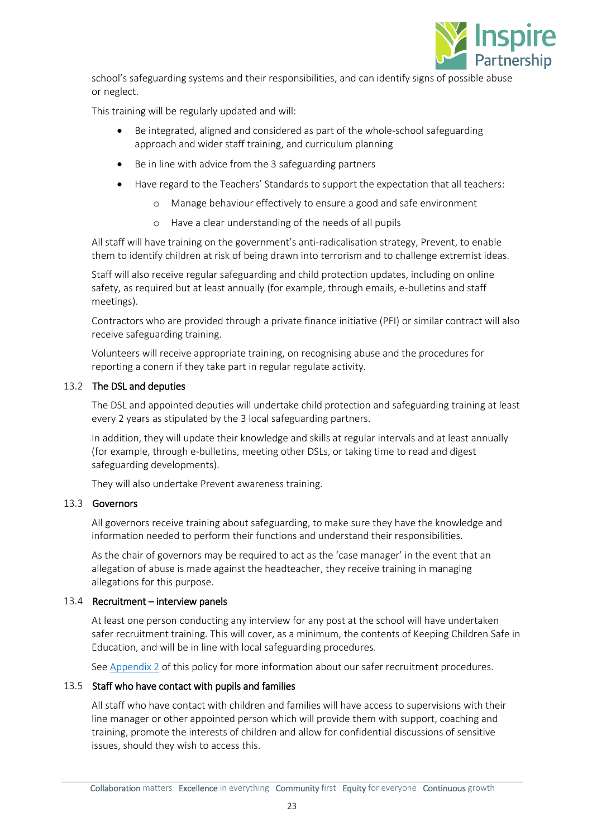

school's safeguarding systems and their responsibilities, and can identify signs of possible abuse or neglect.

This training will be regularly updated and will:

- Be integrated, aligned and considered as part of the whole-school safeguarding approach and wider staff training, and curriculum planning
- Be in line with advice from the 3 safeguarding partners
- Have regard to the Teachers' Standards to support the expectation that all teachers:
	- o Manage behaviour effectively to ensure a good and safe environment
	- o Have a clear understanding of the needs of all pupils

All staff will have training on the government's anti-radicalisation strategy, Prevent, to enable them to identify children at risk of being drawn into terrorism and to challenge extremist ideas.

Staff will also receive regular safeguarding and child protection updates, including on online safety, as required but at least annually (for example, through emails, e-bulletins and staff meetings).

Contractors who are provided through a private finance initiative (PFI) or similar contract will also receive safeguarding training.

Volunteers will receive appropriate training, on recognising abuse and the procedures for reporting a conern if they take part in regular regulate activity.

## 13.2 The DSL and deputies

The DSL and appointed deputies will undertake child protection and safeguarding training at least every 2 years as stipulated by the 3 local safeguarding partners.

In addition, they will update their knowledge and skills at regular intervals and at least annually (for example, through e-bulletins, meeting other DSLs, or taking time to read and digest safeguarding developments).

They will also undertake Prevent awareness training.

## 13.3 Governors

All governors receive training about safeguarding, to make sure they have the knowledge and information needed to perform their functions and understand their responsibilities.

As the chair of governors may be required to act as the 'case manager' in the event that an allegation of abuse is made against the headteacher, they receive training in managing allegations for this purpose.

## 13.4 Recruitment – interview panels

At least one person conducting any interview for any post at the school will have undertaken safer recruitment training. This will cover, as a minimum, the contents of Keeping Children Safe in Education, and will be in line with local safeguarding procedures.

Se[e Appendix 2](#page-27-0) of this policy for more information about our safer recruitment procedures.

## 13.5 Staff who have contact with pupils and families

All staff who have contact with children and families will have access to supervisions with their line manager or other appointed person which will provide them with support, coaching and training, promote the interests of children and allow for confidential discussions of sensitive issues, should they wish to access this.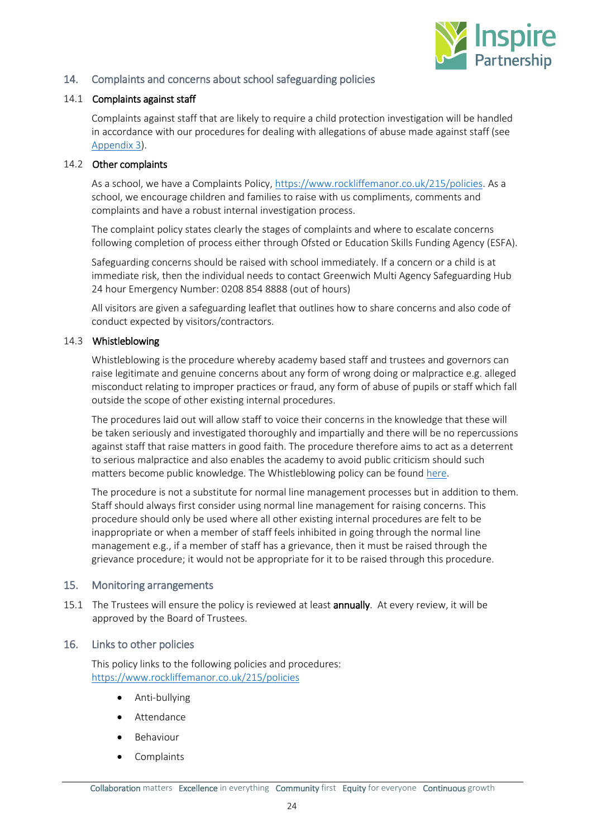

## <span id="page-23-0"></span>14. Complaints and concerns about school safeguarding policies

## 14.1 Complaints against staff

Complaints against staff that are likely to require a child protection investigation will be handled in accordance with our procedures for dealing with allegations of abuse made against staff (see [Appendix 3\)](#page-32-0).

## 14.2 Other complaints

As a school, we have a Complaints Policy[, https://www.rockliffemanor.co.uk/215/policies.](https://www.rockliffemanor.co.uk/215/policies) As a school, we encourage children and families to raise with us compliments, comments and complaints and have a robust internal investigation process.

The complaint policy states clearly the stages of complaints and where to escalate concerns following completion of process either through Ofsted or Education Skills Funding Agency (ESFA).

Safeguarding concerns should be raised with school immediately. If a concern or a child is at immediate risk, then the individual needs to contact Greenwich Multi Agency Safeguarding Hub 24 hour Emergency Number: 0208 854 8888 (out of hours)

All visitors are given a safeguarding leaflet that outlines how to share concerns and also code of conduct expected by visitors/contractors.

## 14.3 Whistleblowing

Whistleblowing is the procedure whereby academy based staff and trustees and governors can raise legitimate and genuine concerns about any form of wrong doing or malpractice e.g. alleged misconduct relating to improper practices or fraud, any form of abuse of pupils or staff which fall outside the scope of other existing internal procedures.

The procedures laid out will allow staff to voice their concerns in the knowledge that these will be taken seriously and investigated thoroughly and impartially and there will be no repercussions against staff that raise matters in good faith. The procedure therefore aims to act as a deterrent to serious malpractice and also enables the academy to avoid public criticism should such matters become public knowledge. The Whistleblowing policy can be found [here.](https://www.maundene.medway.sch.uk/667/key-information/category/62/personnel-finance-and-premises)

The procedure is not a substitute for normal line management processes but in addition to them. Staff should always first consider using normal line management for raising concerns. This procedure should only be used where all other existing internal procedures are felt to be inappropriate or when a member of staff feels inhibited in going through the normal line management e.g., if a member of staff has a grievance, then it must be raised through the grievance procedure; it would not be appropriate for it to be raised through this procedure.

## <span id="page-23-1"></span>15. Monitoring arrangements

15.1 The Trustees will ensure the policy is reviewed at least **annually**. At every review, it will be approved by the Board of Trustees.

## <span id="page-23-2"></span>16. Links to other policies

This policy links to the following policies and procedures: <https://www.rockliffemanor.co.uk/215/policies>

- Anti-bullying
- **Attendance**
- **Behaviour**
- Complaints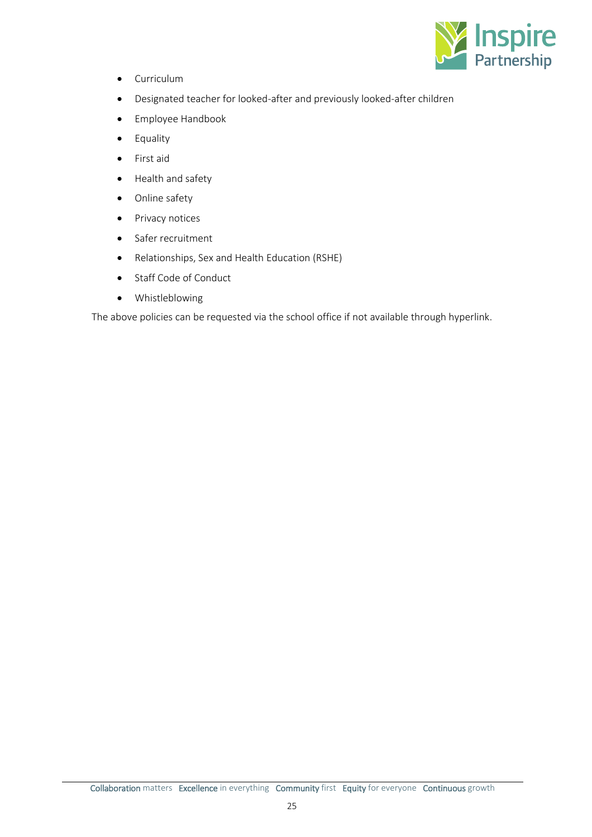

- Curriculum
- Designated teacher for looked-after and previously looked-after children
- Employee Handbook
- Equality
- First aid
- Health and safety
- Online safety
- Privacy notices
- Safer recruitment
- Relationships, Sex and Health Education (RSHE)
- Staff Code of Conduct
- Whistleblowing

The above policies can be requested via the school office if not available through hyperlink.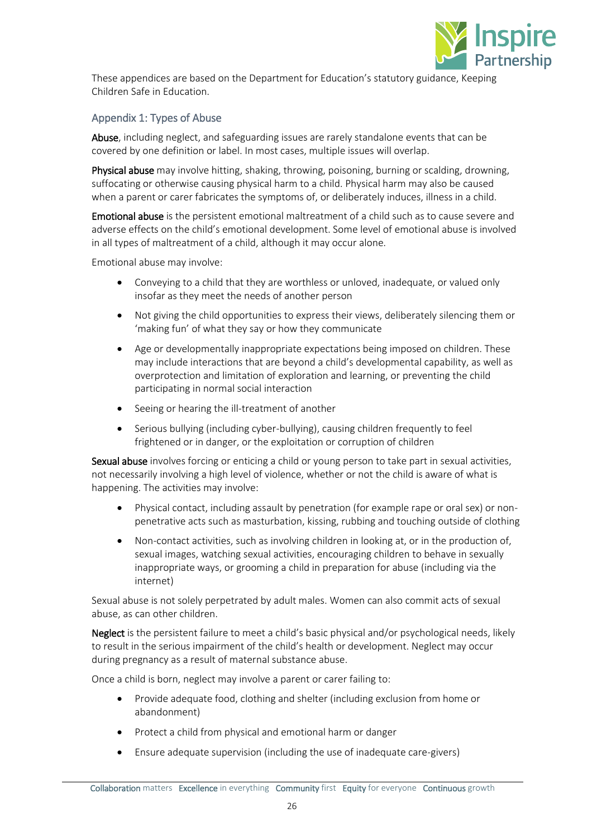

These appendices are based on the Department for Education's statutory guidance, Keeping Children Safe in Education.

## <span id="page-25-0"></span>Appendix 1: Types of Abuse

Abuse, including neglect, and safeguarding issues are rarely standalone events that can be covered by one definition or label. In most cases, multiple issues will overlap.

Physical abuse may involve hitting, shaking, throwing, poisoning, burning or scalding, drowning, suffocating or otherwise causing physical harm to a child. Physical harm may also be caused when a parent or carer fabricates the symptoms of, or deliberately induces, illness in a child.

Emotional abuse is the persistent emotional maltreatment of a child such as to cause severe and adverse effects on the child's emotional development. Some level of emotional abuse is involved in all types of maltreatment of a child, although it may occur alone.

Emotional abuse may involve:

- Conveying to a child that they are worthless or unloved, inadequate, or valued only insofar as they meet the needs of another person
- Not giving the child opportunities to express their views, deliberately silencing them or 'making fun' of what they say or how they communicate
- Age or developmentally inappropriate expectations being imposed on children. These may include interactions that are beyond a child's developmental capability, as well as overprotection and limitation of exploration and learning, or preventing the child participating in normal social interaction
- Seeing or hearing the ill-treatment of another
- Serious bullying (including cyber-bullying), causing children frequently to feel frightened or in danger, or the exploitation or corruption of children

Sexual abuse involves forcing or enticing a child or young person to take part in sexual activities, not necessarily involving a high level of violence, whether or not the child is aware of what is happening. The activities may involve:

- Physical contact, including assault by penetration (for example rape or oral sex) or nonpenetrative acts such as masturbation, kissing, rubbing and touching outside of clothing
- Non-contact activities, such as involving children in looking at, or in the production of, sexual images, watching sexual activities, encouraging children to behave in sexually inappropriate ways, or grooming a child in preparation for abuse (including via the internet)

Sexual abuse is not solely perpetrated by adult males. Women can also commit acts of sexual abuse, as can other children.

Neglect is the persistent failure to meet a child's basic physical and/or psychological needs, likely to result in the serious impairment of the child's health or development. Neglect may occur during pregnancy as a result of maternal substance abuse.

Once a child is born, neglect may involve a parent or carer failing to:

- Provide adequate food, clothing and shelter (including exclusion from home or abandonment)
- Protect a child from physical and emotional harm or danger
- Ensure adequate supervision (including the use of inadequate care-givers)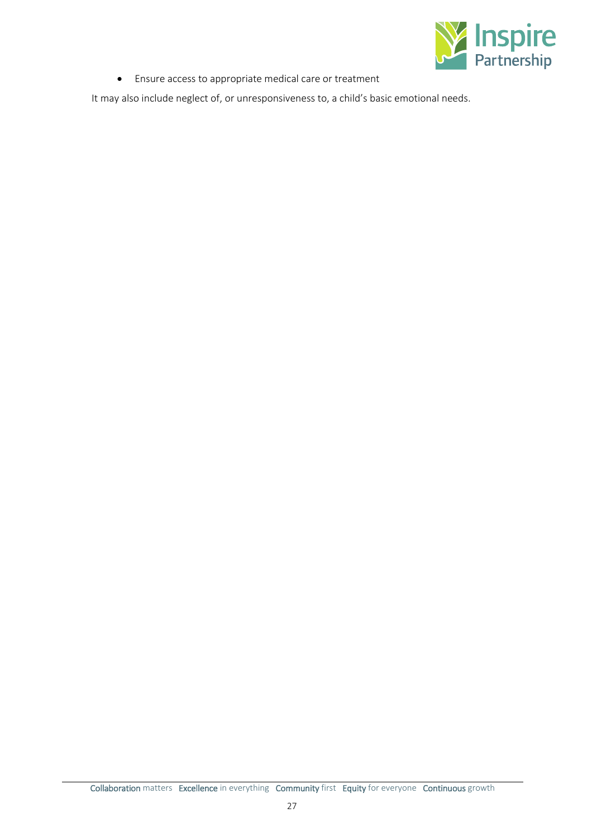

• Ensure access to appropriate medical care or treatment

It may also include neglect of, or unresponsiveness to, a child's basic emotional needs.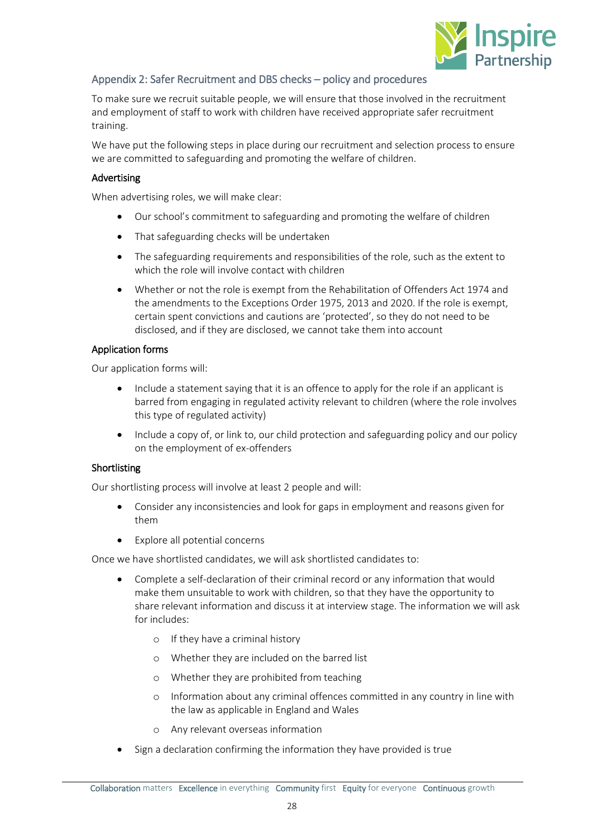

## <span id="page-27-0"></span>Appendix 2: Safer Recruitment and DBS checks – policy and procedures

To make sure we recruit suitable people, we will ensure that those involved in the recruitment and employment of staff to work with children have received appropriate safer recruitment training.

We have put the following steps in place during our recruitment and selection process to ensure we are committed to safeguarding and promoting the welfare of children.

## Advertising

When advertising roles, we will make clear:

- Our school's commitment to safeguarding and promoting the welfare of children
- That safeguarding checks will be undertaken
- The safeguarding requirements and responsibilities of the role, such as the extent to which the role will involve contact with children
- Whether or not the role is exempt from the Rehabilitation of Offenders Act 1974 and the amendments to the Exceptions Order 1975, 2013 and 2020. If the role is exempt, certain spent convictions and cautions are 'protected', so they do not need to be disclosed, and if they are disclosed, we cannot take them into account

## Application forms

Our application forms will:

- Include a statement saying that it is an offence to apply for the role if an applicant is barred from engaging in regulated activity relevant to children (where the role involves this type of regulated activity)
- Include a copy of, or link to, our child protection and safeguarding policy and our policy on the employment of ex-offenders

## Shortlisting

Our shortlisting process will involve at least 2 people and will:

- Consider any inconsistencies and look for gaps in employment and reasons given for them
- Explore all potential concerns

Once we have shortlisted candidates, we will ask shortlisted candidates to:

- Complete a self-declaration of their criminal record or any information that would make them unsuitable to work with children, so that they have the opportunity to share relevant information and discuss it at interview stage. The information we will ask for includes:
	- o If they have a criminal history
	- o Whether they are included on the barred list
	- o Whether they are prohibited from teaching
	- o Information about any criminal offences committed in any country in line with the law as applicable in England and Wales
	- o Any relevant overseas information
- Sign a declaration confirming the information they have provided is true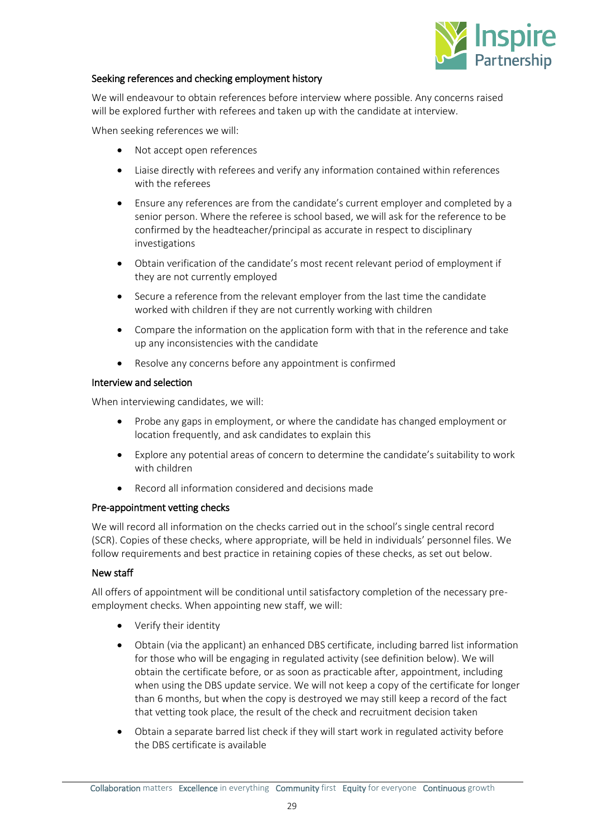

## Seeking references and checking employment history

We will endeavour to obtain references before interview where possible. Any concerns raised will be explored further with referees and taken up with the candidate at interview.

When seeking references we will:

- Not accept open references
- Liaise directly with referees and verify any information contained within references with the referees
- Ensure any references are from the candidate's current employer and completed by a senior person. Where the referee is school based, we will ask for the reference to be confirmed by the headteacher/principal as accurate in respect to disciplinary investigations
- Obtain verification of the candidate's most recent relevant period of employment if they are not currently employed
- Secure a reference from the relevant employer from the last time the candidate worked with children if they are not currently working with children
- Compare the information on the application form with that in the reference and take up any inconsistencies with the candidate
- Resolve any concerns before any appointment is confirmed

## Interview and selection

When interviewing candidates, we will:

- Probe any gaps in employment, or where the candidate has changed employment or location frequently, and ask candidates to explain this
- Explore any potential areas of concern to determine the candidate's suitability to work with children
- Record all information considered and decisions made

## Pre-appointment vetting checks

We will record all information on the checks carried out in the school's single central record (SCR). Copies of these checks, where appropriate, will be held in individuals' personnel files. We follow requirements and best practice in retaining copies of these checks, as set out below.

## New staff

All offers of appointment will be conditional until satisfactory completion of the necessary preemployment checks. When appointing new staff, we will:

- Verify their identity
- Obtain (via the applicant) an enhanced DBS certificate, including barred list information for those who will be engaging in regulated activity (see definition below). We will obtain the certificate before, or as soon as practicable after, appointment, including when using the DBS update service. We will not keep a copy of the certificate for longer than 6 months, but when the copy is destroyed we may still keep a record of the fact that vetting took place, the result of the check and recruitment decision taken
- Obtain a separate barred list check if they will start work in regulated activity before the DBS certificate is available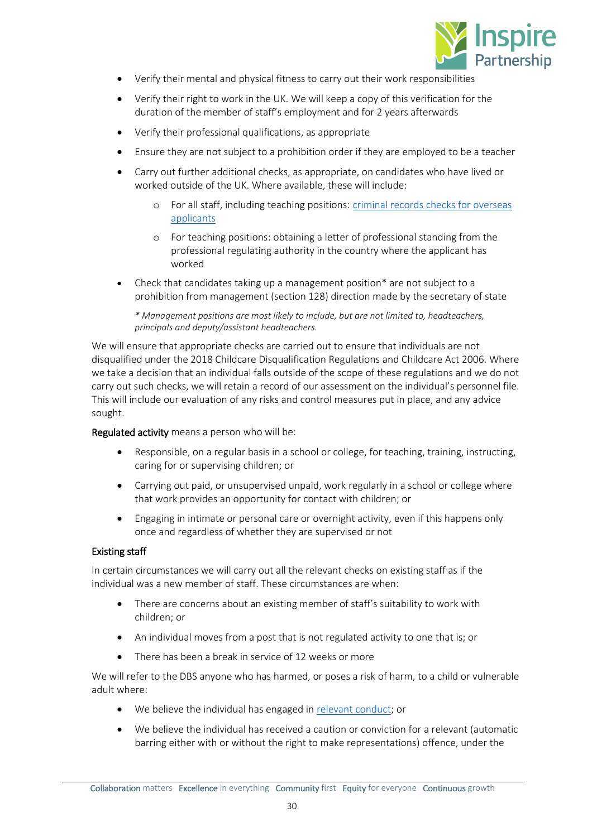

- Verify their mental and physical fitness to carry out their work responsibilities
- Verify their right to work in the UK. We will keep a copy of this verification for the duration of the member of staff's employment and for 2 years afterwards
- Verify their professional qualifications, as appropriate
- Ensure they are not subject to a prohibition order if they are employed to be a teacher
- Carry out further additional checks, as appropriate, on candidates who have lived or worked outside of the UK. Where available, these will include:
	- o For all staff, including teaching positions: criminal records [checks for overseas](https://www.gov.uk/government/publications/criminal-records-checks-for-overseas-applicants)  [applicants](https://www.gov.uk/government/publications/criminal-records-checks-for-overseas-applicants)
	- o For teaching positions: obtaining a letter of professional standing from the professional regulating authority in the country where the applicant has worked
- Check that candidates taking up a management position\* are not subject to a prohibition from management (section 128) direction made by the secretary of state

*\* Management positions are most likely to include, but are not limited to, headteachers, principals and deputy/assistant headteachers.*

We will ensure that appropriate checks are carried out to ensure that individuals are not disqualified under the 2018 Childcare Disqualification Regulations and Childcare Act 2006. Where we take a decision that an individual falls outside of the scope of these regulations and we do not carry out such checks, we will retain a record of our assessment on the individual's personnel file. This will include our evaluation of any risks and control measures put in place, and any advice sought.

Regulated activity means a person who will be:

- Responsible, on a regular basis in a school or college, for teaching, training, instructing, caring for or supervising children; or
- Carrying out paid, or unsupervised unpaid, work regularly in a school or college where that work provides an opportunity for contact with children; or
- Engaging in intimate or personal care or overnight activity, even if this happens only once and regardless of whether they are supervised or not

## Existing staff

In certain circumstances we will carry out all the relevant checks on existing staff as if the individual was a new member of staff. These circumstances are when:

- There are concerns about an existing member of staff's suitability to work with children; or
- An individual moves from a post that is not regulated activity to one that is; or
- There has been a break in service of 12 weeks or more

We will refer to the DBS anyone who has harmed, or poses a risk of harm, to a child or vulnerable adult where:

- We believe the individual has engaged in [relevant conduct;](https://www.gov.uk/guidance/making-barring-referrals-to-the-dbs#relevant-conduct-in-relation-to-children) or
- We believe the individual has received a caution or conviction for a relevant (automatic barring either with or without the right to make representations) offence, under the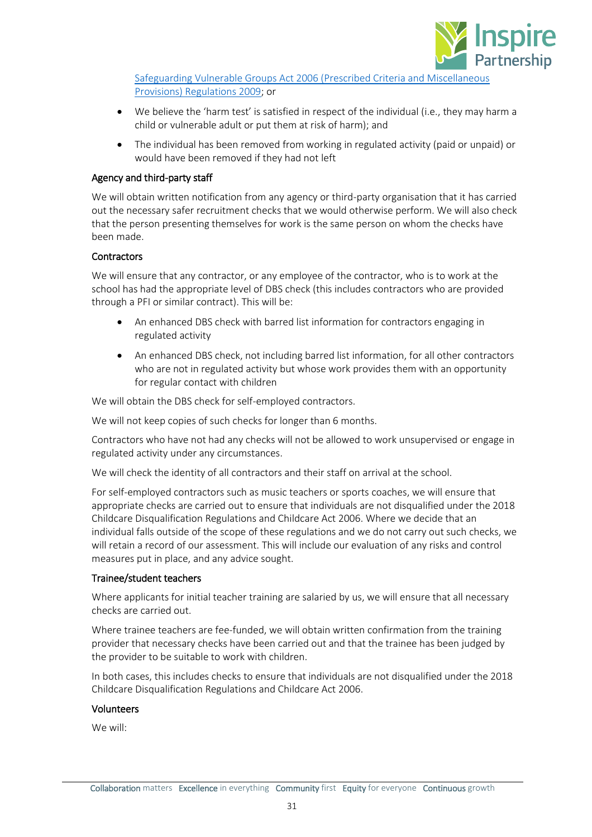

[Safeguarding Vulnerable Groups Act 2006 \(Prescribed Criteria and Miscellaneous](http://www.legislation.gov.uk/uksi/2009/37/contents/made)  [Provisions\) Regulations 2009;](http://www.legislation.gov.uk/uksi/2009/37/contents/made) or

- We believe the 'harm test' is satisfied in respect of the individual (i.e., they may harm a child or vulnerable adult or put them at risk of harm); and
- The individual has been removed from working in regulated activity (paid or unpaid) or would have been removed if they had not left

## Agency and third-party staff

We will obtain written notification from any agency or third-party organisation that it has carried out the necessary safer recruitment checks that we would otherwise perform. We will also check that the person presenting themselves for work is the same person on whom the checks have been made.

## **Contractors**

We will ensure that any contractor, or any employee of the contractor, who is to work at the school has had the appropriate level of DBS check (this includes contractors who are provided through a PFI or similar contract). This will be:

- An enhanced DBS check with barred list information for contractors engaging in regulated activity
- An enhanced DBS check, not including barred list information, for all other contractors who are not in regulated activity but whose work provides them with an opportunity for regular contact with children

We will obtain the DBS check for self-employed contractors.

We will not keep copies of such checks for longer than 6 months.

Contractors who have not had any checks will not be allowed to work unsupervised or engage in regulated activity under any circumstances.

We will check the identity of all contractors and their staff on arrival at the school.

For self-employed contractors such as music teachers or sports coaches, we will ensure that appropriate checks are carried out to ensure that individuals are not disqualified under the 2018 Childcare Disqualification Regulations and Childcare Act 2006. Where we decide that an individual falls outside of the scope of these regulations and we do not carry out such checks, we will retain a record of our assessment. This will include our evaluation of any risks and control measures put in place, and any advice sought.

## Trainee/student teachers

Where applicants for initial teacher training are salaried by us, we will ensure that all necessary checks are carried out.

Where trainee teachers are fee-funded, we will obtain written confirmation from the training provider that necessary checks have been carried out and that the trainee has been judged by the provider to be suitable to work with children.

In both cases, this includes checks to ensure that individuals are not disqualified under the 2018 Childcare Disqualification Regulations and Childcare Act 2006.

## Volunteers

We will: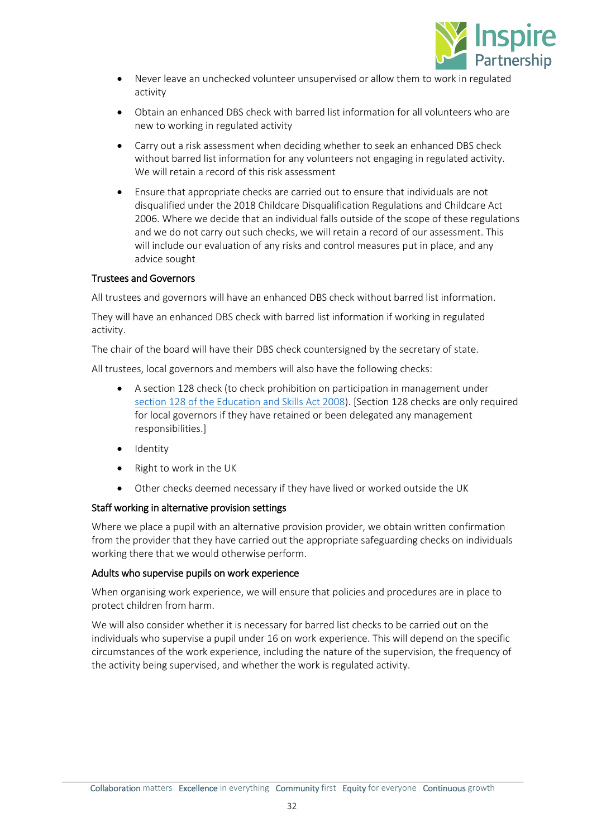

- Never leave an unchecked volunteer unsupervised or allow them to work in regulated activity
- Obtain an enhanced DBS check with barred list information for all volunteers who are new to working in regulated activity
- Carry out a risk assessment when deciding whether to seek an enhanced DBS check without barred list information for any volunteers not engaging in regulated activity. We will retain a record of this risk assessment
- Ensure that appropriate checks are carried out to ensure that individuals are not disqualified under the 2018 Childcare Disqualification Regulations and Childcare Act 2006. Where we decide that an individual falls outside of the scope of these regulations and we do not carry out such checks, we will retain a record of our assessment. This will include our evaluation of any risks and control measures put in place, and any advice sought

## Trustees and Governors

All trustees and governors will have an enhanced DBS check without barred list information.

They will have an enhanced DBS check with barred list information if working in regulated activity.

The chair of the board will have their DBS check countersigned by the secretary of state.

All trustees, local governors and members will also have the following checks:

- A section 128 check (to check prohibition on participation in management under [section 128 of the Education and Skills Act 2008\)](https://www.legislation.gov.uk/ukpga/2008/25/section/128). [Section 128 checks are only required for local governors if they have retained or been delegated any management responsibilities.]
- Identity
- Right to work in the UK
- Other checks deemed necessary if they have lived or worked outside the UK

## Staff working in alternative provision settings

Where we place a pupil with an alternative provision provider, we obtain written confirmation from the provider that they have carried out the appropriate safeguarding checks on individuals working there that we would otherwise perform.

## Adults who supervise pupils on work experience

When organising work experience, we will ensure that policies and procedures are in place to protect children from harm.

We will also consider whether it is necessary for barred list checks to be carried out on the individuals who supervise a pupil under 16 on work experience. This will depend on the specific circumstances of the work experience, including the nature of the supervision, the frequency of the activity being supervised, and whether the work is regulated activity.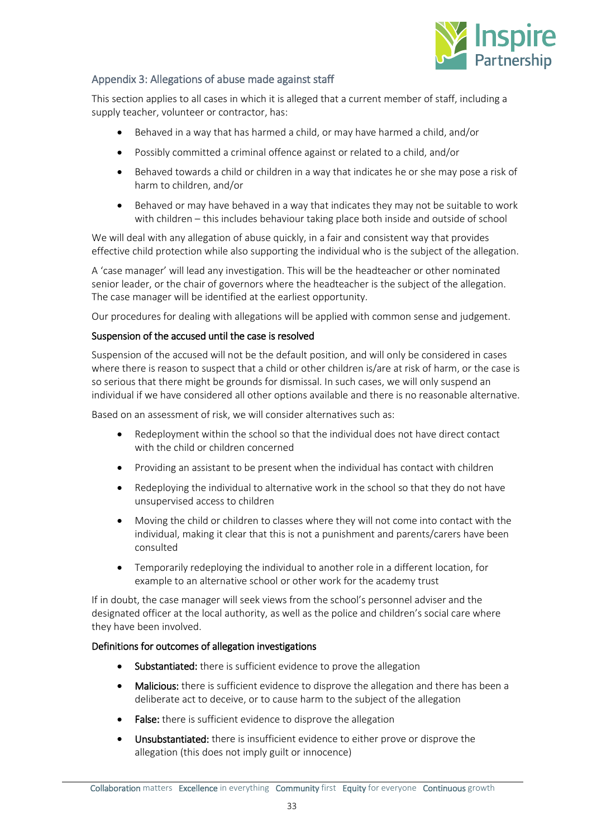

## <span id="page-32-0"></span>Appendix 3: Allegations of abuse made against staff

This section applies to all cases in which it is alleged that a current member of staff, including a supply teacher, volunteer or contractor, has:

- Behaved in a way that has harmed a child, or may have harmed a child, and/or
- Possibly committed a criminal offence against or related to a child, and/or
- Behaved towards a child or children in a way that indicates he or she may pose a risk of harm to children, and/or
- Behaved or may have behaved in a way that indicates they may not be suitable to work with children – this includes behaviour taking place both inside and outside of school

We will deal with any allegation of abuse quickly, in a fair and consistent way that provides effective child protection while also supporting the individual who is the subject of the allegation.

A 'case manager' will lead any investigation. This will be the headteacher or other nominated senior leader, or the chair of governors where the headteacher is the subject of the allegation. The case manager will be identified at the earliest opportunity.

Our procedures for dealing with allegations will be applied with common sense and judgement.

## Suspension of the accused until the case is resolved

Suspension of the accused will not be the default position, and will only be considered in cases where there is reason to suspect that a child or other children is/are at risk of harm, or the case is so serious that there might be grounds for dismissal. In such cases, we will only suspend an individual if we have considered all other options available and there is no reasonable alternative.

Based on an assessment of risk, we will consider alternatives such as:

- Redeployment within the school so that the individual does not have direct contact with the child or children concerned
- Providing an assistant to be present when the individual has contact with children
- Redeploying the individual to alternative work in the school so that they do not have unsupervised access to children
- Moving the child or children to classes where they will not come into contact with the individual, making it clear that this is not a punishment and parents/carers have been consulted
- Temporarily redeploying the individual to another role in a different location, for example to an alternative school or other work for the academy trust

If in doubt, the case manager will seek views from the school's personnel adviser and the designated officer at the local authority, as well as the police and children's social care where they have been involved.

## Definitions for outcomes of allegation investigations

- Substantiated: there is sufficient evidence to prove the allegation
- **Malicious:** there is sufficient evidence to disprove the allegation and there has been a deliberate act to deceive, or to cause harm to the subject of the allegation
- False: there is sufficient evidence to disprove the allegation
- Unsubstantiated: there is insufficient evidence to either prove or disprove the allegation (this does not imply guilt or innocence)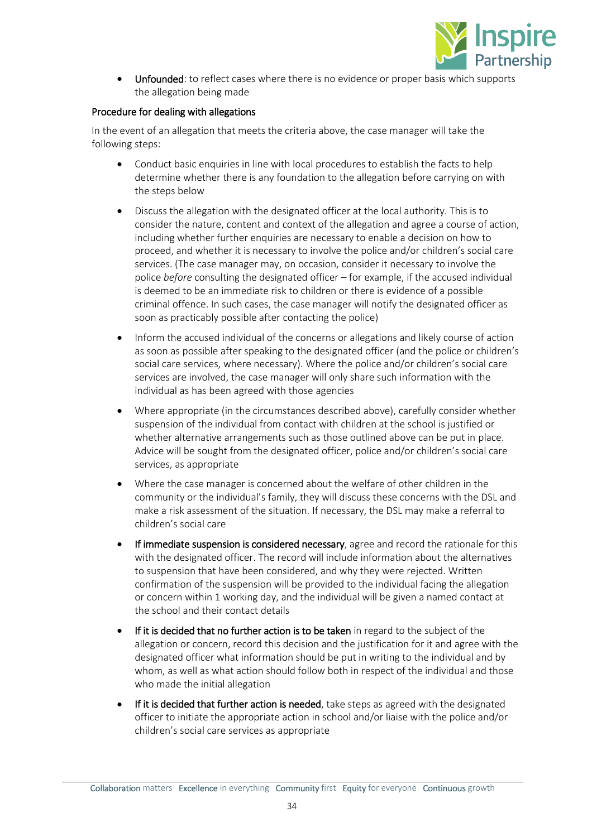

Unfounded: to reflect cases where there is no evidence or proper basis which supports the allegation being made

## Procedure for dealing with allegations

In the event of an allegation that meets the criteria above, the case manager will take the following steps:

- Conduct basic enquiries in line with local procedures to establish the facts to help determine whether there is any foundation to the allegation before carrying on with the steps below
- Discuss the allegation with the designated officer at the local authority. This is to consider the nature, content and context of the allegation and agree a course of action, including whether further enquiries are necessary to enable a decision on how to proceed, and whether it is necessary to involve the police and/or children's social care services. (The case manager may, on occasion, consider it necessary to involve the police *before* consulting the designated officer – for example, if the accused individual is deemed to be an immediate risk to children or there is evidence of a possible criminal offence. In such cases, the case manager will notify the designated officer as soon as practicably possible after contacting the police)
- Inform the accused individual of the concerns or allegations and likely course of action as soon as possible after speaking to the designated officer (and the police or children's social care services, where necessary). Where the police and/or children's social care services are involved, the case manager will only share such information with the individual as has been agreed with those agencies
- Where appropriate (in the circumstances described above), carefully consider whether suspension of the individual from contact with children at the school is justified or whether alternative arrangements such as those outlined above can be put in place. Advice will be sought from the designated officer, police and/or children's social care services, as appropriate
- Where the case manager is concerned about the welfare of other children in the community or the individual's family, they will discuss these concerns with the DSL and make a risk assessment of the situation. If necessary, the DSL may make a referral to children's social care
- If immediate suspension is considered necessary, agree and record the rationale for this with the designated officer. The record will include information about the alternatives to suspension that have been considered, and why they were rejected. Written confirmation of the suspension will be provided to the individual facing the allegation or concern within 1 working day, and the individual will be given a named contact at the school and their contact details
- If it is decided that no further action is to be taken in regard to the subject of the allegation or concern, record this decision and the justification for it and agree with the designated officer what information should be put in writing to the individual and by whom, as well as what action should follow both in respect of the individual and those who made the initial allegation
- If it is decided that further action is needed, take steps as agreed with the designated officer to initiate the appropriate action in school and/or liaise with the police and/or children's social care services as appropriate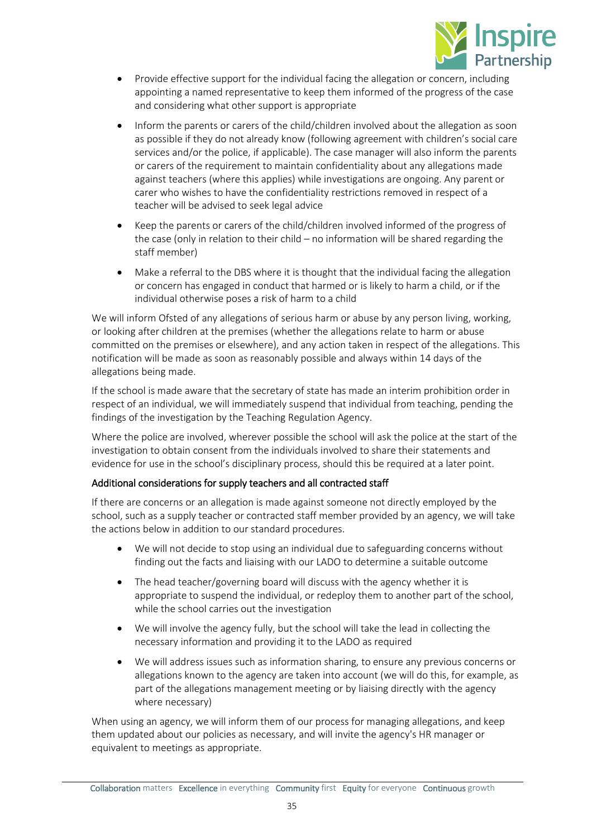

- Provide effective support for the individual facing the allegation or concern, including appointing a named representative to keep them informed of the progress of the case and considering what other support is appropriate
- Inform the parents or carers of the child/children involved about the allegation as soon as possible if they do not already know (following agreement with children's social care services and/or the police, if applicable). The case manager will also inform the parents or carers of the requirement to maintain confidentiality about any allegations made against teachers (where this applies) while investigations are ongoing. Any parent or carer who wishes to have the confidentiality restrictions removed in respect of a teacher will be advised to seek legal advice
- Keep the parents or carers of the child/children involved informed of the progress of the case (only in relation to their child – no information will be shared regarding the staff member)
- Make a referral to the DBS where it is thought that the individual facing the allegation or concern has engaged in conduct that harmed or is likely to harm a child, or if the individual otherwise poses a risk of harm to a child

We will inform Ofsted of any allegations of serious harm or abuse by any person living, working, or looking after children at the premises (whether the allegations relate to harm or abuse committed on the premises or elsewhere), and any action taken in respect of the allegations. This notification will be made as soon as reasonably possible and always within 14 days of the allegations being made.

If the school is made aware that the secretary of state has made an interim prohibition order in respect of an individual, we will immediately suspend that individual from teaching, pending the findings of the investigation by the Teaching Regulation Agency.

Where the police are involved, wherever possible the school will ask the police at the start of the investigation to obtain consent from the individuals involved to share their statements and evidence for use in the school's disciplinary process, should this be required at a later point.

## Additional considerations for supply teachers and all contracted staff

If there are concerns or an allegation is made against someone not directly employed by the school, such as a supply teacher or contracted staff member provided by an agency, we will take the actions below in addition to our standard procedures.

- We will not decide to stop using an individual due to safeguarding concerns without finding out the facts and liaising with our LADO to determine a suitable outcome
- The head teacher/governing board will discuss with the agency whether it is appropriate to suspend the individual, or redeploy them to another part of the school, while the school carries out the investigation
- We will involve the agency fully, but the school will take the lead in collecting the necessary information and providing it to the LADO as required
- We will address issues such as information sharing, to ensure any previous concerns or allegations known to the agency are taken into account (we will do this, for example, as part of the allegations management meeting or by liaising directly with the agency where necessary)

When using an agency, we will inform them of our process for managing allegations, and keep them updated about our policies as necessary, and will invite the agency's HR manager or equivalent to meetings as appropriate.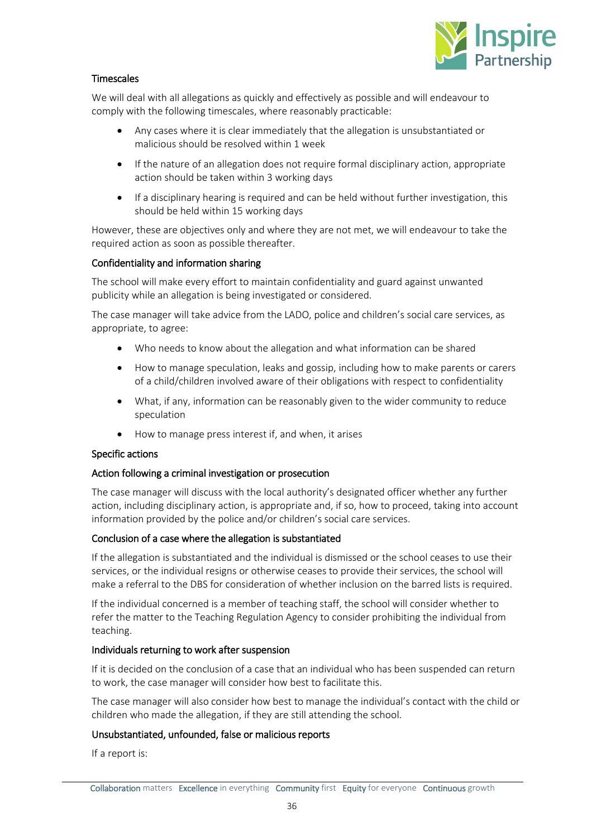

## Timescales

We will deal with all allegations as quickly and effectively as possible and will endeavour to comply with the following timescales, where reasonably practicable:

- Any cases where it is clear immediately that the allegation is unsubstantiated or malicious should be resolved within 1 week
- If the nature of an allegation does not require formal disciplinary action, appropriate action should be taken within 3 working days
- If a disciplinary hearing is required and can be held without further investigation, this should be held within 15 working days

However, these are objectives only and where they are not met, we will endeavour to take the required action as soon as possible thereafter.

## Confidentiality and information sharing

The school will make every effort to maintain confidentiality and guard against unwanted publicity while an allegation is being investigated or considered.

The case manager will take advice from the LADO, police and children's social care services, as appropriate, to agree:

- Who needs to know about the allegation and what information can be shared
- How to manage speculation, leaks and gossip, including how to make parents or carers of a child/children involved aware of their obligations with respect to confidentiality
- What, if any, information can be reasonably given to the wider community to reduce speculation
- How to manage press interest if, and when, it arises

## Specific actions

## Action following a criminal investigation or prosecution

The case manager will discuss with the local authority's designated officer whether any further action, including disciplinary action, is appropriate and, if so, how to proceed, taking into account information provided by the police and/or children's social care services.

## Conclusion of a case where the allegation is substantiated

If the allegation is substantiated and the individual is dismissed or the school ceases to use their services, or the individual resigns or otherwise ceases to provide their services, the school will make a referral to the DBS for consideration of whether inclusion on the barred lists is required.

If the individual concerned is a member of teaching staff, the school will consider whether to refer the matter to the Teaching Regulation Agency to consider prohibiting the individual from teaching.

## Individuals returning to work after suspension

If it is decided on the conclusion of a case that an individual who has been suspended can return to work, the case manager will consider how best to facilitate this.

The case manager will also consider how best to manage the individual's contact with the child or children who made the allegation, if they are still attending the school.

## Unsubstantiated, unfounded, false or malicious reports

If a report is: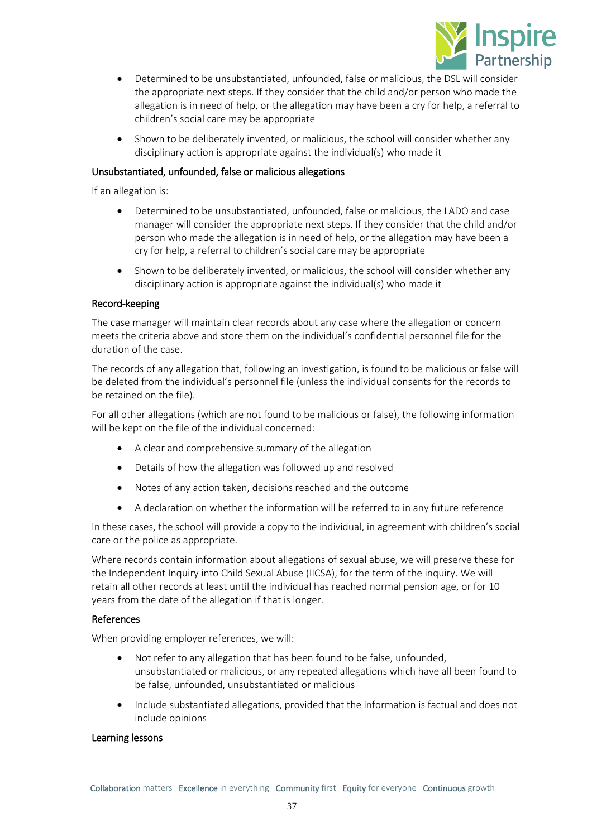

- Determined to be unsubstantiated, unfounded, false or malicious, the DSL will consider the appropriate next steps. If they consider that the child and/or person who made the allegation is in need of help, or the allegation may have been a cry for help, a referral to children's social care may be appropriate
- Shown to be deliberately invented, or malicious, the school will consider whether any disciplinary action is appropriate against the individual(s) who made it

## Unsubstantiated, unfounded, false or malicious allegations

If an allegation is:

- Determined to be unsubstantiated, unfounded, false or malicious, the LADO and case manager will consider the appropriate next steps. If they consider that the child and/or person who made the allegation is in need of help, or the allegation may have been a cry for help, a referral to children's social care may be appropriate
- Shown to be deliberately invented, or malicious, the school will consider whether any disciplinary action is appropriate against the individual(s) who made it

## Record-keeping

The case manager will maintain clear records about any case where the allegation or concern meets the criteria above and store them on the individual's confidential personnel file for the duration of the case.

The records of any allegation that, following an investigation, is found to be malicious or false will be deleted from the individual's personnel file (unless the individual consents for the records to be retained on the file).

For all other allegations (which are not found to be malicious or false), the following information will be kept on the file of the individual concerned:

- A clear and comprehensive summary of the allegation
- Details of how the allegation was followed up and resolved
- Notes of any action taken, decisions reached and the outcome
- A declaration on whether the information will be referred to in any future reference

In these cases, the school will provide a copy to the individual, in agreement with children's social care or the police as appropriate.

Where records contain information about allegations of sexual abuse, we will preserve these for the Independent Inquiry into Child Sexual Abuse (IICSA), for the term of the inquiry. We will retain all other records at least until the individual has reached normal pension age, or for 10 years from the date of the allegation if that is longer.

## References

When providing employer references, we will:

- Not refer to any allegation that has been found to be false, unfounded, unsubstantiated or malicious, or any repeated allegations which have all been found to be false, unfounded, unsubstantiated or malicious
- Include substantiated allegations, provided that the information is factual and does not include opinions

## Learning lessons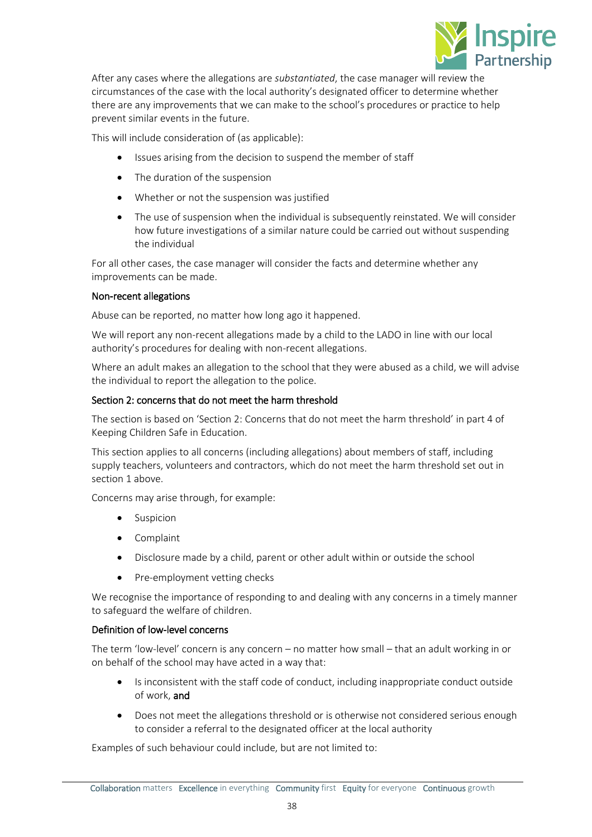

After any cases where the allegations are *substantiated*, the case manager will review the circumstances of the case with the local authority's designated officer to determine whether there are any improvements that we can make to the school's procedures or practice to help prevent similar events in the future.

This will include consideration of (as applicable):

- Issues arising from the decision to suspend the member of staff
- The duration of the suspension
- Whether or not the suspension was justified
- The use of suspension when the individual is subsequently reinstated. We will consider how future investigations of a similar nature could be carried out without suspending the individual

For all other cases, the case manager will consider the facts and determine whether any improvements can be made.

## Non-recent allegations

Abuse can be reported, no matter how long ago it happened.

We will report any non-recent allegations made by a child to the LADO in line with our local authority's procedures for dealing with non-recent allegations.

Where an adult makes an allegation to the school that they were abused as a child, we will advise the individual to report the allegation to the police.

## Section 2: concerns that do not meet the harm threshold

The section is based on 'Section 2: Concerns that do not meet the harm threshold' in part 4 of Keeping Children Safe in Education.

This section applies to all concerns (including allegations) about members of staff, including supply teachers, volunteers and contractors, which do not meet the harm threshold set out in section 1 above.

Concerns may arise through, for example:

- Suspicion
- Complaint
- Disclosure made by a child, parent or other adult within or outside the school
- Pre-employment vetting checks

We recognise the importance of responding to and dealing with any concerns in a timely manner to safeguard the welfare of children.

## Definition of low-level concerns

The term 'low-level' concern is any concern – no matter how small – that an adult working in or on behalf of the school may have acted in a way that:

- Is inconsistent with the staff code of conduct, including inappropriate conduct outside of work, and
- Does not meet the allegations threshold or is otherwise not considered serious enough to consider a referral to the designated officer at the local authority

Examples of such behaviour could include, but are not limited to: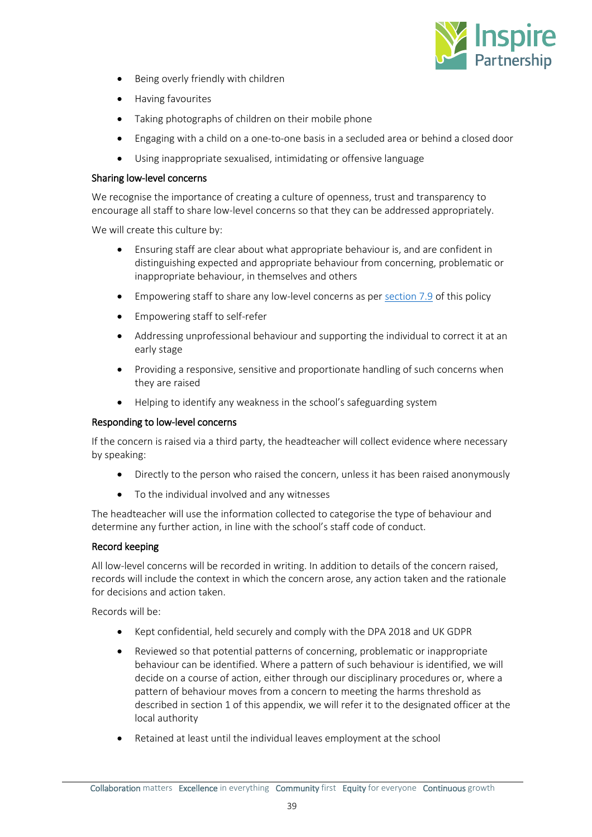

- Being overly friendly with children
- Having favourites
- Taking photographs of children on their mobile phone
- Engaging with a child on a one-to-one basis in a secluded area or behind a closed door
- Using inappropriate sexualised, intimidating or offensive language

#### Sharing low-level concerns

We recognise the importance of creating a culture of openness, trust and transparency to encourage all staff to share low-level concerns so that they can be addressed appropriately.

We will create this culture by:

- Ensuring staff are clear about what appropriate behaviour is, and are confident in distinguishing expected and appropriate behaviour from concerning, problematic or inappropriate behaviour, in themselves and others
- Empowering staff to share any low-level concerns as per [section 7.9](#page-8-0) of this policy
- Empowering staff to self-refer
- Addressing unprofessional behaviour and supporting the individual to correct it at an early stage
- Providing a responsive, sensitive and proportionate handling of such concerns when they are raised
- Helping to identify any weakness in the school's safeguarding system

#### Responding to low-level concerns

If the concern is raised via a third party, the headteacher will collect evidence where necessary by speaking:

- Directly to the person who raised the concern, unless it has been raised anonymously
- To the individual involved and any witnesses

The headteacher will use the information collected to categorise the type of behaviour and determine any further action, in line with the school's staff code of conduct.

## Record keeping

All low-level concerns will be recorded in writing. In addition to details of the concern raised, records will include the context in which the concern arose, any action taken and the rationale for decisions and action taken.

Records will be:

- Kept confidential, held securely and comply with the DPA 2018 and UK GDPR
- Reviewed so that potential patterns of concerning, problematic or inappropriate behaviour can be identified. Where a pattern of such behaviour is identified, we will decide on a course of action, either through our disciplinary procedures or, where a pattern of behaviour moves from a concern to meeting the harms threshold as described in section 1 of this appendix, we will refer it to the designated officer at the local authority
- Retained at least until the individual leaves employment at the school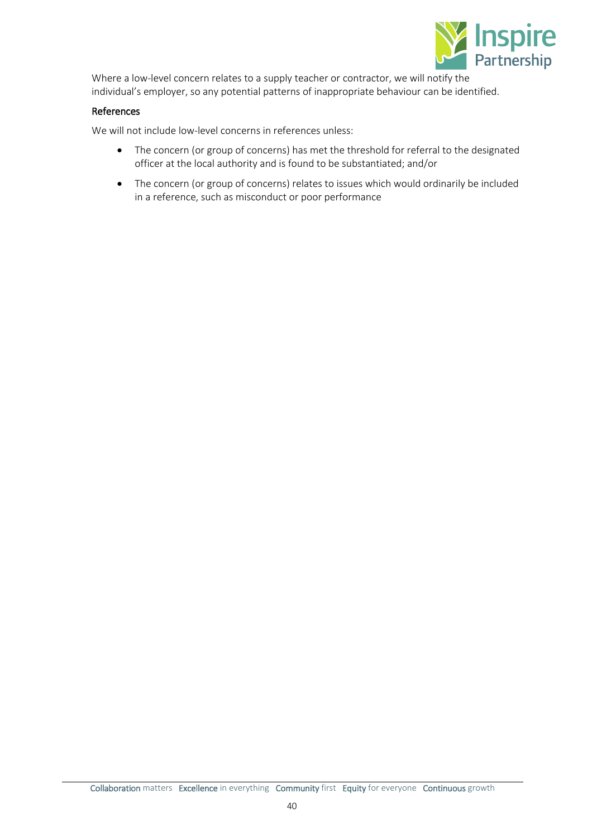

Where a low-level concern relates to a supply teacher or contractor, we will notify the individual's employer, so any potential patterns of inappropriate behaviour can be identified.

## References

We will not include low-level concerns in references unless:

- The concern (or group of concerns) has met the threshold for referral to the designated officer at the local authority and is found to be substantiated; and/or
- The concern (or group of concerns) relates to issues which would ordinarily be included in a reference, such as misconduct or poor performance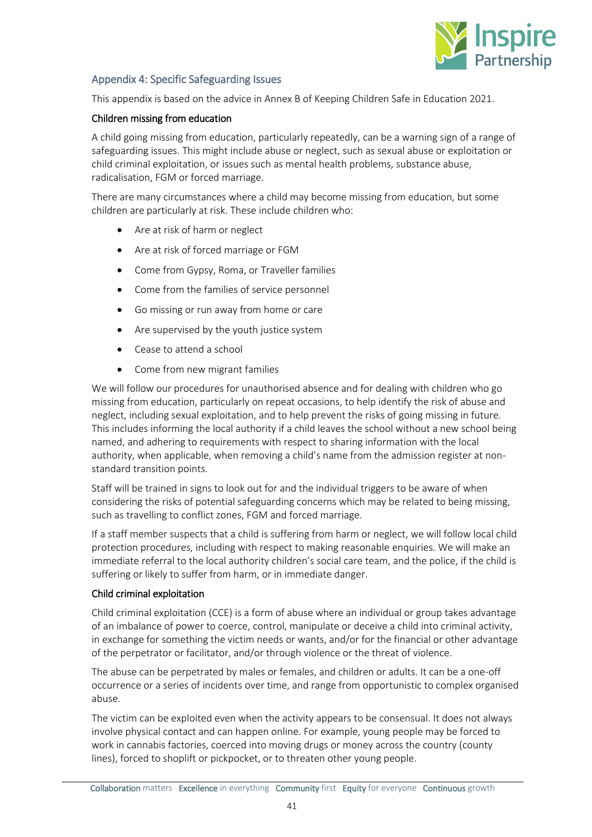

## <span id="page-40-0"></span>Appendix 4: Specific Safeguarding Issues

This appendix is based on the advice in Annex B of Keeping Children Safe in Education 2021.

## Children missing from education

A child going missing from education, particularly repeatedly, can be a warning sign of a range of safeguarding issues. This might include abuse or neglect, such as sexual abuse or exploitation or child criminal exploitation, or issues such as mental health problems, substance abuse, radicalisation, FGM or forced marriage.

There are many circumstances where a child may become missing from education, but some children are particularly at risk. These include children who:

- Are at risk of harm or neglect
- Are at risk of forced marriage or FGM
- Come from Gypsy, Roma, or Traveller families
- Come from the families of service personnel
- Go missing or run away from home or care
- Are supervised by the youth justice system
- Cease to attend a school
- Come from new migrant families

We will follow our procedures for unauthorised absence and for dealing with children who go missing from education, particularly on repeat occasions, to help identify the risk of abuse and neglect, including sexual exploitation, and to help prevent the risks of going missing in future. This includes informing the local authority if a child leaves the school without a new school being named, and adhering to requirements with respect to sharing information with the local authority, when applicable, when removing a child's name from the admission register at nonstandard transition points.

Staff will be trained in signs to look out for and the individual triggers to be aware of when considering the risks of potential safeguarding concerns which may be related to being missing, such as travelling to conflict zones, FGM and forced marriage.

If a staff member suspects that a child is suffering from harm or neglect, we will follow local child protection procedures, including with respect to making reasonable enquiries. We will make an immediate referral to the local authority children's social care team, and the police, if the child is suffering or likely to suffer from harm, or in immediate danger.

## Child criminal exploitation

Child criminal exploitation (CCE) is a form of abuse where an individual or group takes advantage of an imbalance of power to coerce, control, manipulate or deceive a child into criminal activity, in exchange for something the victim needs or wants, and/or for the financial or other advantage of the perpetrator or facilitator, and/or through violence or the threat of violence.

The abuse can be perpetrated by males or females, and children or adults. It can be a one-off occurrence or a series of incidents over time, and range from opportunistic to complex organised abuse.

The victim can be exploited even when the activity appears to be consensual. It does not always involve physical contact and can happen online. For example, young people may be forced to work in cannabis factories, coerced into moving drugs or money across the country (county lines), forced to shoplift or pickpocket, or to threaten other young people.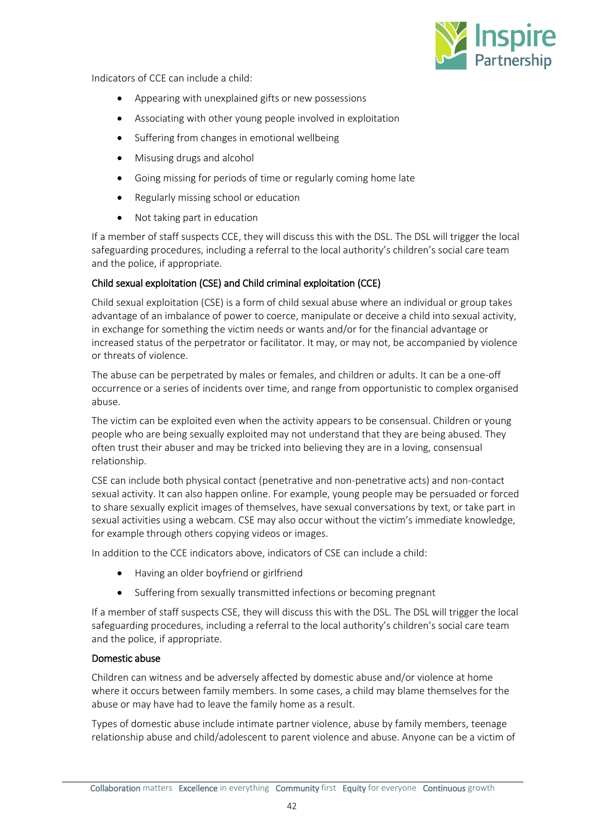

Indicators of CCE can include a child:

- Appearing with unexplained gifts or new possessions
- Associating with other young people involved in exploitation
- Suffering from changes in emotional wellbeing
- Misusing drugs and alcohol
- Going missing for periods of time or regularly coming home late
- Regularly missing school or education
- Not taking part in education

If a member of staff suspects CCE, they will discuss this with the DSL. The DSL will trigger the local safeguarding procedures, including a referral to the local authority's children's social care team and the police, if appropriate.

## Child sexual exploitation (CSE) and Child criminal exploitation (CCE)

Child sexual exploitation (CSE) is a form of child sexual abuse where an individual or group takes advantage of an imbalance of power to coerce, manipulate or deceive a child into sexual activity, in exchange for something the victim needs or wants and/or for the financial advantage or increased status of the perpetrator or facilitator. It may, or may not, be accompanied by violence or threats of violence.

The abuse can be perpetrated by males or females, and children or adults. It can be a one-off occurrence or a series of incidents over time, and range from opportunistic to complex organised abuse.

The victim can be exploited even when the activity appears to be consensual. Children or young people who are being sexually exploited may not understand that they are being abused. They often trust their abuser and may be tricked into believing they are in a loving, consensual relationship.

CSE can include both physical contact (penetrative and non-penetrative acts) and non-contact sexual activity. It can also happen online. For example, young people may be persuaded or forced to share sexually explicit images of themselves, have sexual conversations by text, or take part in sexual activities using a webcam. CSE may also occur without the victim's immediate knowledge, for example through others copying videos or images.

In addition to the CCE indicators above, indicators of CSE can include a child:

- Having an older boyfriend or girlfriend
- Suffering from sexually transmitted infections or becoming pregnant

If a member of staff suspects CSE, they will discuss this with the DSL. The DSL will trigger the local safeguarding procedures, including a referral to the local authority's children's social care team and the police, if appropriate.

## Domestic abuse

Children can witness and be adversely affected by domestic abuse and/or violence at home where it occurs between family members. In some cases, a child may blame themselves for the abuse or may have had to leave the family home as a result.

Types of domestic abuse include intimate partner violence, abuse by family members, teenage relationship abuse and child/adolescent to parent violence and abuse. Anyone can be a victim of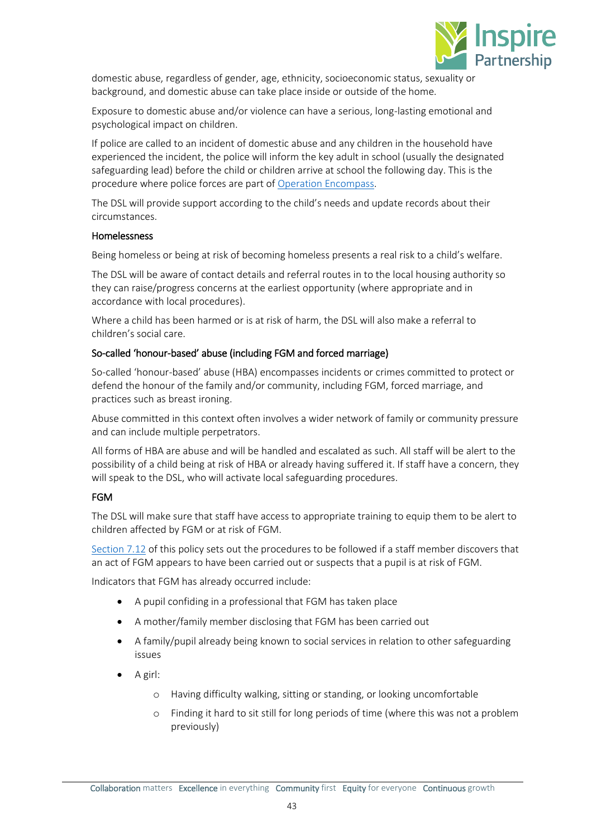

domestic abuse, regardless of gender, age, ethnicity, socioeconomic status, sexuality or background, and domestic abuse can take place inside or outside of the home.

Exposure to domestic abuse and/or violence can have a serious, long-lasting emotional and psychological impact on children.

If police are called to an incident of domestic abuse and any children in the household have experienced the incident, the police will inform the key adult in school (usually the designated safeguarding lead) before the child or children arrive at school the following day. This is the procedure where police forces are part of [Operation Encompass.](https://www.operationencompass.org/)

The DSL will provide support according to the child's needs and update records about their circumstances.

## Homelessness

Being homeless or being at risk of becoming homeless presents a real risk to a child's welfare.

The DSL will be aware of contact details and referral routes in to the local housing authority so they can raise/progress concerns at the earliest opportunity (where appropriate and in accordance with local procedures).

Where a child has been harmed or is at risk of harm, the DSL will also make a referral to children's social care.

## So-called 'honour-based' abuse (including FGM and forced marriage)

So-called 'honour-based' abuse (HBA) encompasses incidents or crimes committed to protect or defend the honour of the family and/or community, including FGM, forced marriage, and practices such as breast ironing.

Abuse committed in this context often involves a wider network of family or community pressure and can include multiple perpetrators.

All forms of HBA are abuse and will be handled and escalated as such. All staff will be alert to the possibility of a child being at risk of HBA or already having suffered it. If staff have a concern, they will speak to the DSL, who will activate local safeguarding procedures.

## FGM

The DSL will make sure that staff have access to appropriate training to equip them to be alert to children affected by FGM or at risk of FGM.

[Section 7.12](#page-9-0) of this policy sets out the procedures to be followed if a staff member discovers that an act of FGM appears to have been carried out or suspects that a pupil is at risk of FGM.

Indicators that FGM has already occurred include:

- A pupil confiding in a professional that FGM has taken place
- A mother/family member disclosing that FGM has been carried out
- A family/pupil already being known to social services in relation to other safeguarding issues
- A girl:
	- o Having difficulty walking, sitting or standing, or looking uncomfortable
	- o Finding it hard to sit still for long periods of time (where this was not a problem previously)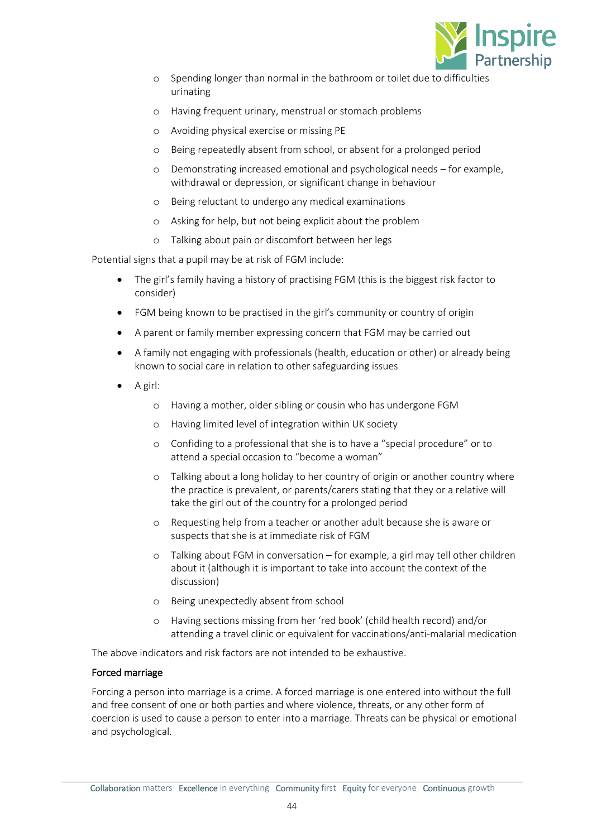

- o Spending longer than normal in the bathroom or toilet due to difficulties urinating
- o Having frequent urinary, menstrual or stomach problems
- o Avoiding physical exercise or missing PE
- o Being repeatedly absent from school, or absent for a prolonged period
- o Demonstrating increased emotional and psychological needs for example, withdrawal or depression, or significant change in behaviour
- o Being reluctant to undergo any medical examinations
- o Asking for help, but not being explicit about the problem
- o Talking about pain or discomfort between her legs

Potential signs that a pupil may be at risk of FGM include:

- The girl's family having a history of practising FGM (this is the biggest risk factor to consider)
- FGM being known to be practised in the girl's community or country of origin
- A parent or family member expressing concern that FGM may be carried out
- A family not engaging with professionals (health, education or other) or already being known to social care in relation to other safeguarding issues
- A girl:
	- o Having a mother, older sibling or cousin who has undergone FGM
	- o Having limited level of integration within UK society
	- o Confiding to a professional that she is to have a "special procedure" or to attend a special occasion to "become a woman"
	- o Talking about a long holiday to her country of origin or another country where the practice is prevalent, or parents/carers stating that they or a relative will take the girl out of the country for a prolonged period
	- o Requesting help from a teacher or another adult because she is aware or suspects that she is at immediate risk of FGM
	- o Talking about FGM in conversation for example, a girl may tell other children about it (although it is important to take into account the context of the discussion)
	- o Being unexpectedly absent from school
	- o Having sections missing from her 'red book' (child health record) and/or attending a travel clinic or equivalent for vaccinations/anti-malarial medication

The above indicators and risk factors are not intended to be exhaustive.

## Forced marriage

Forcing a person into marriage is a crime. A forced marriage is one entered into without the full and free consent of one or both parties and where violence, threats, or any other form of coercion is used to cause a person to enter into a marriage. Threats can be physical or emotional and psychological.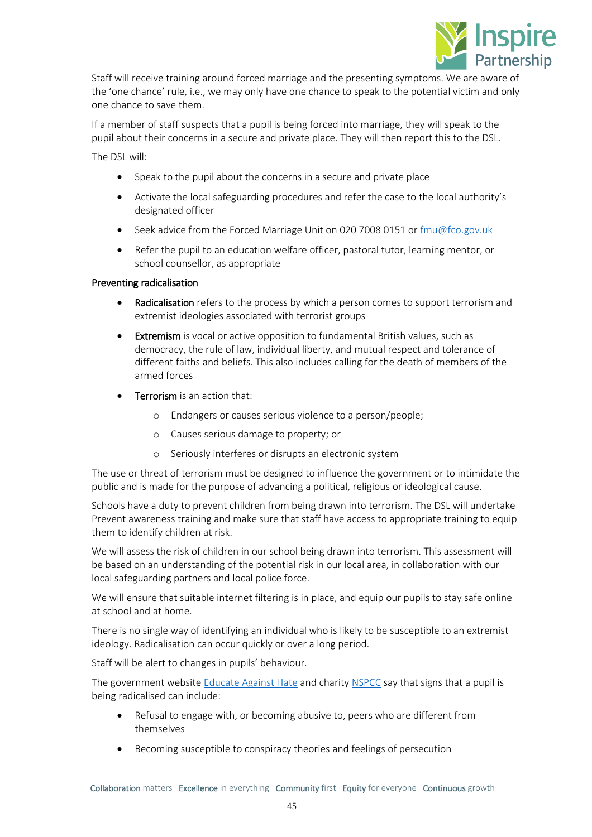

Staff will receive training around forced marriage and the presenting symptoms. We are aware of the 'one chance' rule, i.e., we may only have one chance to speak to the potential victim and only one chance to save them.

If a member of staff suspects that a pupil is being forced into marriage, they will speak to the pupil about their concerns in a secure and private place. They will then report this to the DSL.

The DSL will:

- Speak to the pupil about the concerns in a secure and private place
- Activate the local safeguarding procedures and refer the case to the local authority's designated officer
- Seek advice from the Forced Marriage Unit on 020 7008 0151 or  $\frac{f_{\text{m}}}{g_{\text{co}}g_{\text{ov}}}\$
- Refer the pupil to an education welfare officer, pastoral tutor, learning mentor, or school counsellor, as appropriate

## Preventing radicalisation

- Radicalisation refers to the process by which a person comes to support terrorism and extremist ideologies associated with terrorist groups
- Extremism is vocal or active opposition to fundamental British values, such as democracy, the rule of law, individual liberty, and mutual respect and tolerance of different faiths and beliefs. This also includes calling for the death of members of the armed forces
- **Terrorism** is an action that:
	- o Endangers or causes serious violence to a person/people;
	- o Causes serious damage to property; or
	- o Seriously interferes or disrupts an electronic system

The use or threat of terrorism must be designed to influence the government or to intimidate the public and is made for the purpose of advancing a political, religious or ideological cause.

Schools have a duty to prevent children from being drawn into terrorism. The DSL will undertake Prevent awareness training and make sure that staff have access to appropriate training to equip them to identify children at risk.

We will assess the risk of children in our school being drawn into terrorism. This assessment will be based on an understanding of the potential risk in our local area, in collaboration with our local safeguarding partners and local police force.

We will ensure that suitable internet filtering is in place, and equip our pupils to stay safe online at school and at home.

There is no single way of identifying an individual who is likely to be susceptible to an extremist ideology. Radicalisation can occur quickly or over a long period.

Staff will be alert to changes in pupils' behaviour.

The government website [Educate Against Hate](http://educateagainsthate.com/parents/what-are-the-warning-signs/) and charity [NSPCC](https://www.nspcc.org.uk/what-you-can-do/report-abuse/dedicated-helplines/protecting-children-from-radicalisation/) say that signs that a pupil is being radicalised can include:

- Refusal to engage with, or becoming abusive to, peers who are different from themselves
- Becoming susceptible to conspiracy theories and feelings of persecution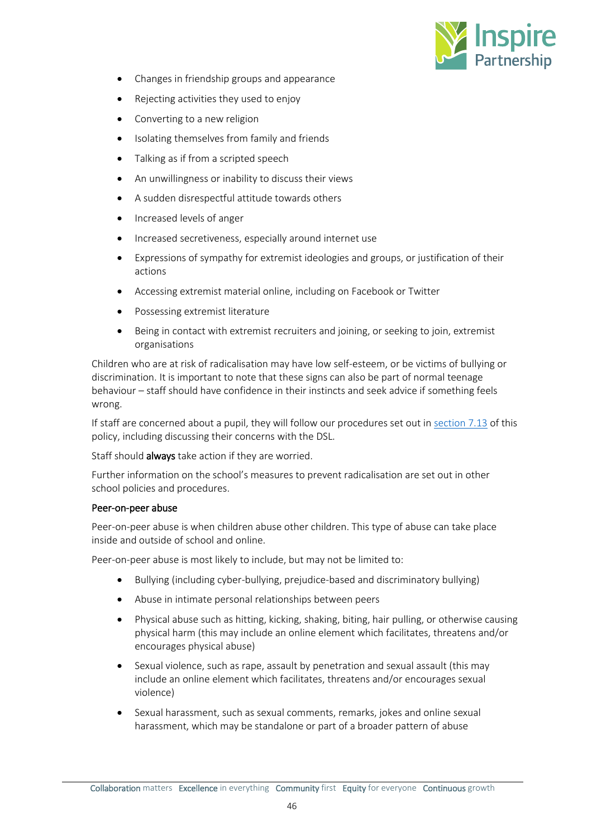

- Changes in friendship groups and appearance
- Rejecting activities they used to enjoy
- Converting to a new religion
- Isolating themselves from family and friends
- Talking as if from a scripted speech
- An unwillingness or inability to discuss their views
- A sudden disrespectful attitude towards others
- Increased levels of anger
- Increased secretiveness, especially around internet use
- Expressions of sympathy for extremist ideologies and groups, or justification of their actions
- Accessing extremist material online, including on Facebook or Twitter
- Possessing extremist literature
- Being in contact with extremist recruiters and joining, or seeking to join, extremist organisations

Children who are at risk of radicalisation may have low self-esteem, or be victims of bullying or discrimination. It is important to note that these signs can also be part of normal teenage behaviour – staff should have confidence in their instincts and seek advice if something feels wrong.

If staff are concerned about a pupil, they will follow our procedures set out in [section 7.13](#page-10-0) of this policy, including discussing their concerns with the DSL.

Staff should always take action if they are worried.

Further information on the school's measures to prevent radicalisation are set out in other school policies and procedures.

## Peer-on-peer abuse

Peer-on-peer abuse is when children abuse other children. This type of abuse can take place inside and outside of school and online.

Peer-on-peer abuse is most likely to include, but may not be limited to:

- Bullying (including cyber-bullying, prejudice-based and discriminatory bullying)
- Abuse in intimate personal relationships between peers
- Physical abuse such as hitting, kicking, shaking, biting, hair pulling, or otherwise causing physical harm (this may include an online element which facilitates, threatens and/or encourages physical abuse)
- Sexual violence, such as rape, assault by penetration and sexual assault (this may include an online element which facilitates, threatens and/or encourages sexual violence)
- Sexual harassment, such as sexual comments, remarks, jokes and online sexual harassment, which may be standalone or part of a broader pattern of abuse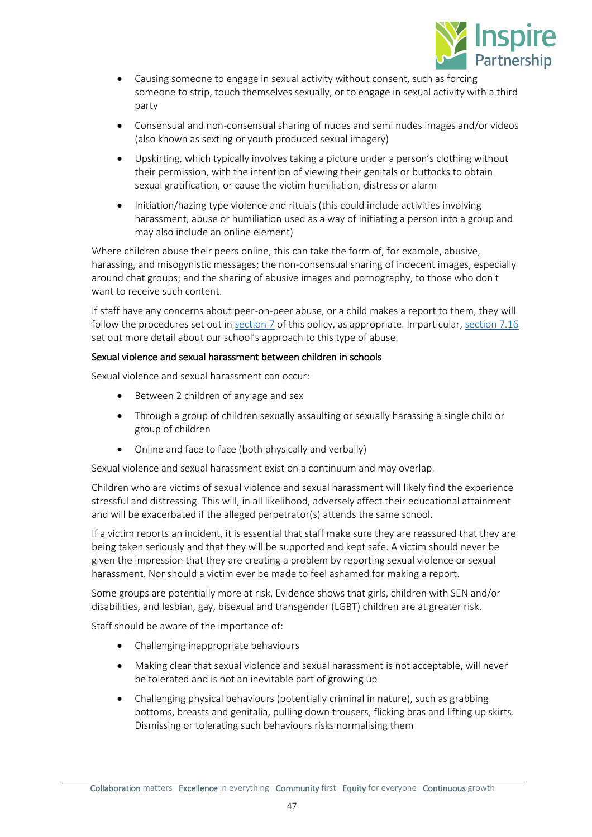

- Causing someone to engage in sexual activity without consent, such as forcing someone to strip, touch themselves sexually, or to engage in sexual activity with a third party
- Consensual and non-consensual sharing of nudes and semi nudes images and/or videos (also known as sexting or youth produced sexual imagery)
- Upskirting, which typically involves taking a picture under a person's clothing without their permission, with the intention of viewing their genitals or buttocks to obtain sexual gratification, or cause the victim humiliation, distress or alarm
- Initiation/hazing type violence and rituals (this could include activities involving harassment, abuse or humiliation used as a way of initiating a person into a group and may also include an online element)

Where children abuse their peers online, this can take the form of, for example, abusive, harassing, and misogynistic messages; the non-consensual sharing of indecent images, especially around chat groups; and the sharing of abusive images and pornography, to those who don't want to receive such content.

If staff have any concerns about peer-on-peer abuse, or a child makes a report to them, they will follow the procedures set out in [section 7](#page-7-1) of this policy, as appropriate. In particular, [section 7.16](#page-11-0) set out more detail about our school's approach to this type of abuse.

## Sexual violence and sexual harassment between children in schools

Sexual violence and sexual harassment can occur:

- Between 2 children of any age and sex
- Through a group of children sexually assaulting or sexually harassing a single child or group of children
- Online and face to face (both physically and verbally)

Sexual violence and sexual harassment exist on a continuum and may overlap.

Children who are victims of sexual violence and sexual harassment will likely find the experience stressful and distressing. This will, in all likelihood, adversely affect their educational attainment and will be exacerbated if the alleged perpetrator(s) attends the same school.

If a victim reports an incident, it is essential that staff make sure they are reassured that they are being taken seriously and that they will be supported and kept safe. A victim should never be given the impression that they are creating a problem by reporting sexual violence or sexual harassment. Nor should a victim ever be made to feel ashamed for making a report.

Some groups are potentially more at risk. Evidence shows that girls, children with SEN and/or disabilities, and lesbian, gay, bisexual and transgender (LGBT) children are at greater risk.

Staff should be aware of the importance of:

- Challenging inappropriate behaviours
- Making clear that sexual violence and sexual harassment is not acceptable, will never be tolerated and is not an inevitable part of growing up
- Challenging physical behaviours (potentially criminal in nature), such as grabbing bottoms, breasts and genitalia, pulling down trousers, flicking bras and lifting up skirts. Dismissing or tolerating such behaviours risks normalising them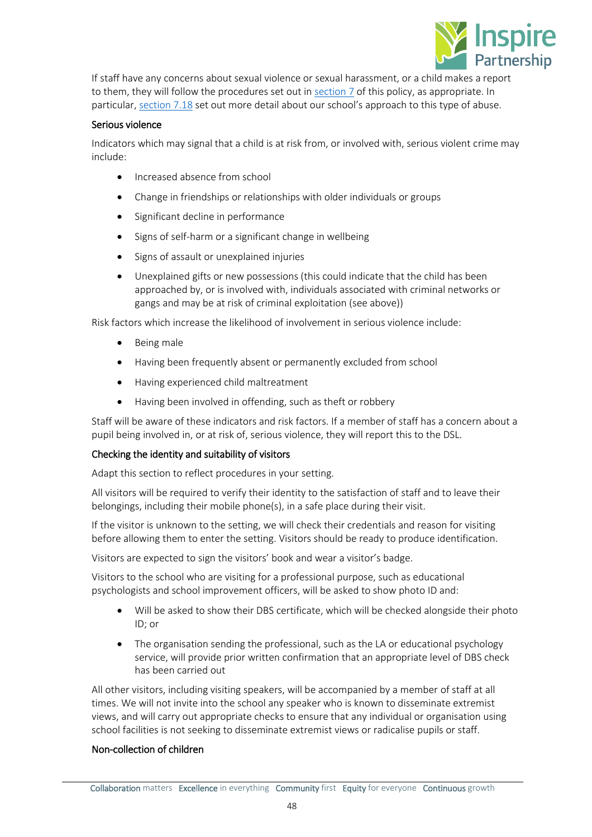

If staff have any concerns about sexual violence or sexual harassment, or a child makes a report to them, they will follow the procedures set out in [section 7](#page-7-1) of this policy, as appropriate. In particular, [section 7.18](#page-14-0) set out more detail about our school's approach to this type of abuse.

## Serious violence

Indicators which may signal that a child is at risk from, or involved with, serious violent crime may include:

- Increased absence from school
- Change in friendships or relationships with older individuals or groups
- Significant decline in performance
- Signs of self-harm or a significant change in wellbeing
- Signs of assault or unexplained injuries
- Unexplained gifts or new possessions (this could indicate that the child has been approached by, or is involved with, individuals associated with criminal networks or gangs and may be at risk of criminal exploitation (see above))

Risk factors which increase the likelihood of involvement in serious violence include:

- Being male
- Having been frequently absent or permanently excluded from school
- Having experienced child maltreatment
- Having been involved in offending, such as theft or robbery

Staff will be aware of these indicators and risk factors. If a member of staff has a concern about a pupil being involved in, or at risk of, serious violence, they will report this to the DSL.

## Checking the identity and suitability of visitors

Adapt this section to reflect procedures in your setting.

All visitors will be required to verify their identity to the satisfaction of staff and to leave their belongings, including their mobile phone(s), in a safe place during their visit.

If the visitor is unknown to the setting, we will check their credentials and reason for visiting before allowing them to enter the setting. Visitors should be ready to produce identification.

Visitors are expected to sign the visitors' book and wear a visitor's badge.

Visitors to the school who are visiting for a professional purpose, such as educational psychologists and school improvement officers, will be asked to show photo ID and:

- Will be asked to show their DBS certificate, which will be checked alongside their photo ID; or
- The organisation sending the professional, such as the LA or educational psychology service, will provide prior written confirmation that an appropriate level of DBS check has been carried out

All other visitors, including visiting speakers, will be accompanied by a member of staff at all times. We will not invite into the school any speaker who is known to disseminate extremist views, and will carry out appropriate checks to ensure that any individual or organisation using school facilities is not seeking to disseminate extremist views or radicalise pupils or staff.

## Non-collection of children